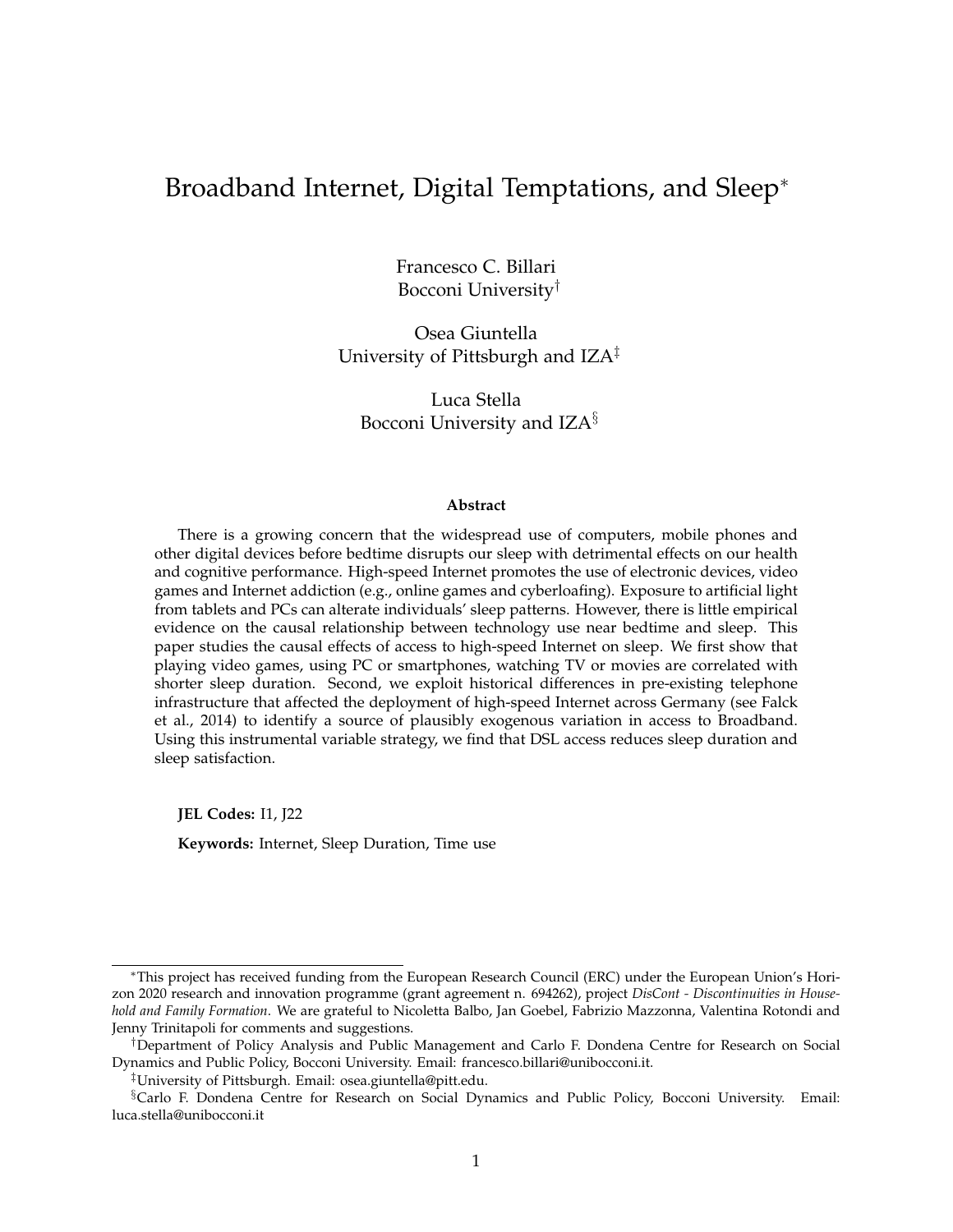## Broadband Internet, Digital Temptations, and Sleep<sup>∗</sup>

Francesco C. Billari Bocconi University†

Osea Giuntella University of Pittsburgh and IZA<sup>‡</sup>

Luca Stella Bocconi University and IZA§

#### **Abstract**

There is a growing concern that the widespread use of computers, mobile phones and other digital devices before bedtime disrupts our sleep with detrimental effects on our health and cognitive performance. High-speed Internet promotes the use of electronic devices, video games and Internet addiction (e.g., online games and cyberloafing). Exposure to artificial light from tablets and PCs can alterate individuals' sleep patterns. However, there is little empirical evidence on the causal relationship between technology use near bedtime and sleep. This paper studies the causal effects of access to high-speed Internet on sleep. We first show that playing video games, using PC or smartphones, watching TV or movies are correlated with shorter sleep duration. Second, we exploit historical differences in pre-existing telephone infrastructure that affected the deployment of high-speed Internet across Germany (see Falck et al., 2014) to identify a source of plausibly exogenous variation in access to Broadband. Using this instrumental variable strategy, we find that DSL access reduces sleep duration and sleep satisfaction.

**JEL Codes:** I1, J22

**Keywords:** Internet, Sleep Duration, Time use

<sup>∗</sup>This project has received funding from the European Research Council (ERC) under the European Union's Horizon 2020 research and innovation programme (grant agreement n. 694262), project *DisCont - Discontinuities in Household and Family Formation*. We are grateful to Nicoletta Balbo, Jan Goebel, Fabrizio Mazzonna, Valentina Rotondi and Jenny Trinitapoli for comments and suggestions.

<sup>†</sup>Department of Policy Analysis and Public Management and Carlo F. Dondena Centre for Research on Social Dynamics and Public Policy, Bocconi University. Email: francesco.billari@unibocconi.it.

<sup>‡</sup>University of Pittsburgh. Email: osea.giuntella@pitt.edu.

<sup>§</sup>Carlo F. Dondena Centre for Research on Social Dynamics and Public Policy, Bocconi University. Email: luca.stella@unibocconi.it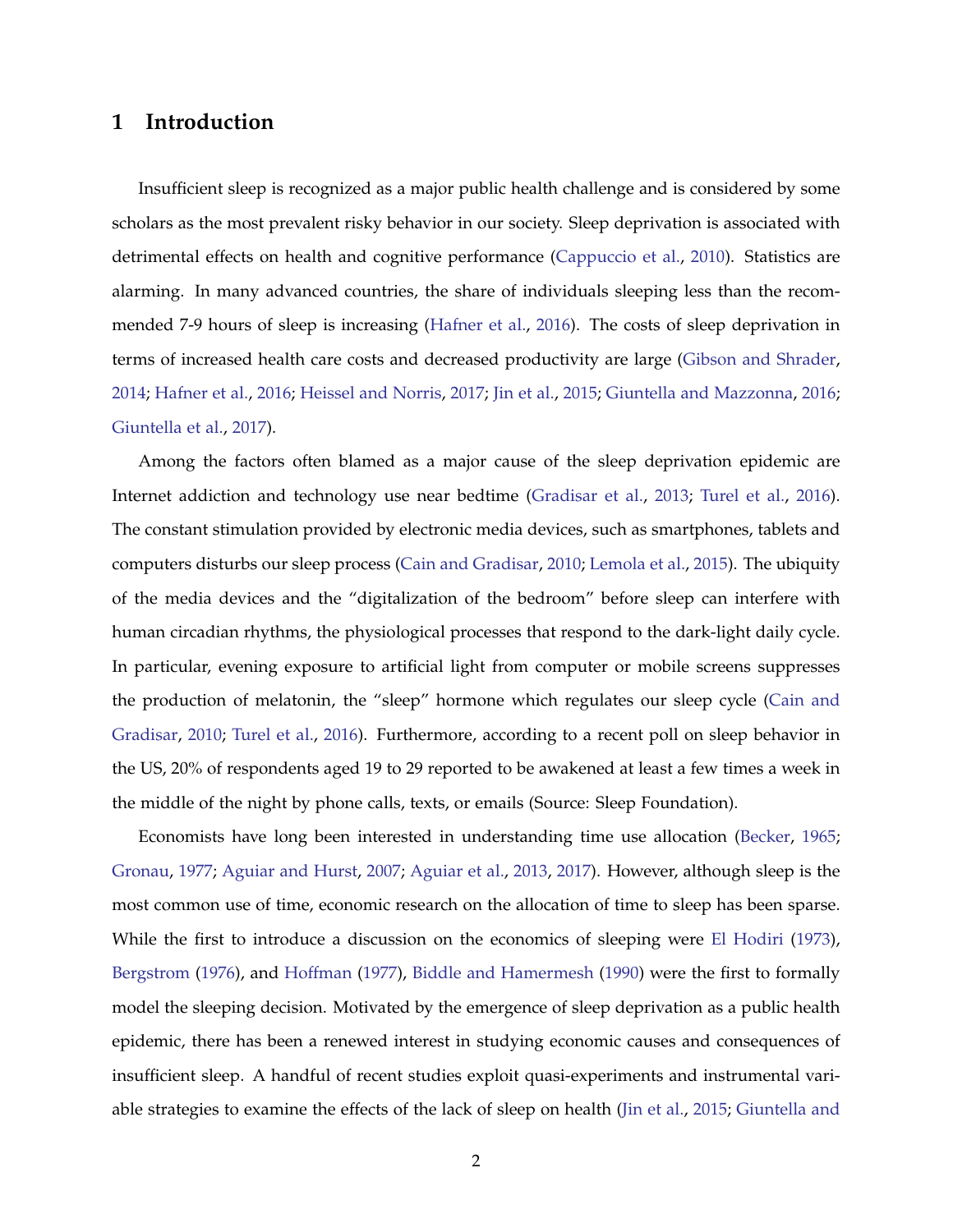### **1 Introduction**

Insufficient sleep is recognized as a major public health challenge and is considered by some scholars as the most prevalent risky behavior in our society. Sleep deprivation is associated with detrimental effects on health and cognitive performance [\(Cappuccio et al.,](#page-15-0) [2010\)](#page-15-0). Statistics are alarming. In many advanced countries, the share of individuals sleeping less than the recommended 7-9 hours of sleep is increasing [\(Hafner et al.,](#page-16-0) [2016\)](#page-16-0). The costs of sleep deprivation in terms of increased health care costs and decreased productivity are large [\(Gibson and Shrader,](#page-15-1) [2014;](#page-15-1) [Hafner et al.,](#page-16-0) [2016;](#page-16-0) [Heissel and Norris,](#page-16-1) [2017;](#page-16-1) [Jin et al.,](#page-16-2) [2015;](#page-16-2) [Giuntella and Mazzonna,](#page-15-2) [2016;](#page-15-2) [Giuntella et al.,](#page-15-3) [2017\)](#page-15-3).

Among the factors often blamed as a major cause of the sleep deprivation epidemic are Internet addiction and technology use near bedtime [\(Gradisar et al.,](#page-15-4) [2013;](#page-15-4) [Turel et al.,](#page-17-0) [2016\)](#page-17-0). The constant stimulation provided by electronic media devices, such as smartphones, tablets and computers disturbs our sleep process [\(Cain and Gradisar,](#page-15-5) [2010;](#page-15-5) [Lemola et al.,](#page-16-3) [2015\)](#page-16-3). The ubiquity of the media devices and the "digitalization of the bedroom" before sleep can interfere with human circadian rhythms, the physiological processes that respond to the dark-light daily cycle. In particular, evening exposure to artificial light from computer or mobile screens suppresses the production of melatonin, the "sleep" hormone which regulates our sleep cycle [\(Cain and](#page-15-5) [Gradisar,](#page-15-5) [2010;](#page-15-5) [Turel et al.,](#page-17-0) [2016\)](#page-17-0). Furthermore, according to a recent poll on sleep behavior in the US, 20% of respondents aged 19 to 29 reported to be awakened at least a few times a week in the middle of the night by phone calls, texts, or emails (Source: Sleep Foundation).

Economists have long been interested in understanding time use allocation [\(Becker,](#page-15-6) [1965;](#page-15-6) [Gronau,](#page-16-4) [1977;](#page-16-4) [Aguiar and Hurst,](#page-15-7) [2007;](#page-15-7) [Aguiar et al.,](#page-15-8) [2013,](#page-15-8) [2017\)](#page-15-9). However, although sleep is the most common use of time, economic research on the allocation of time to sleep has been sparse. While the first to introduce a discussion on the economics of sleeping were [El Hodiri](#page-16-5) [\(1973\)](#page-16-5), [Bergstrom](#page-15-10) [\(1976\)](#page-15-10), and [Hoffman](#page-16-6) [\(1977\)](#page-16-6), [Biddle and Hamermesh](#page-15-11) [\(1990\)](#page-15-11) were the first to formally model the sleeping decision. Motivated by the emergence of sleep deprivation as a public health epidemic, there has been a renewed interest in studying economic causes and consequences of insufficient sleep. A handful of recent studies exploit quasi-experiments and instrumental variable strategies to examine the effects of the lack of sleep on health [\(Jin et al.,](#page-16-2) [2015;](#page-16-2) [Giuntella and](#page-15-2)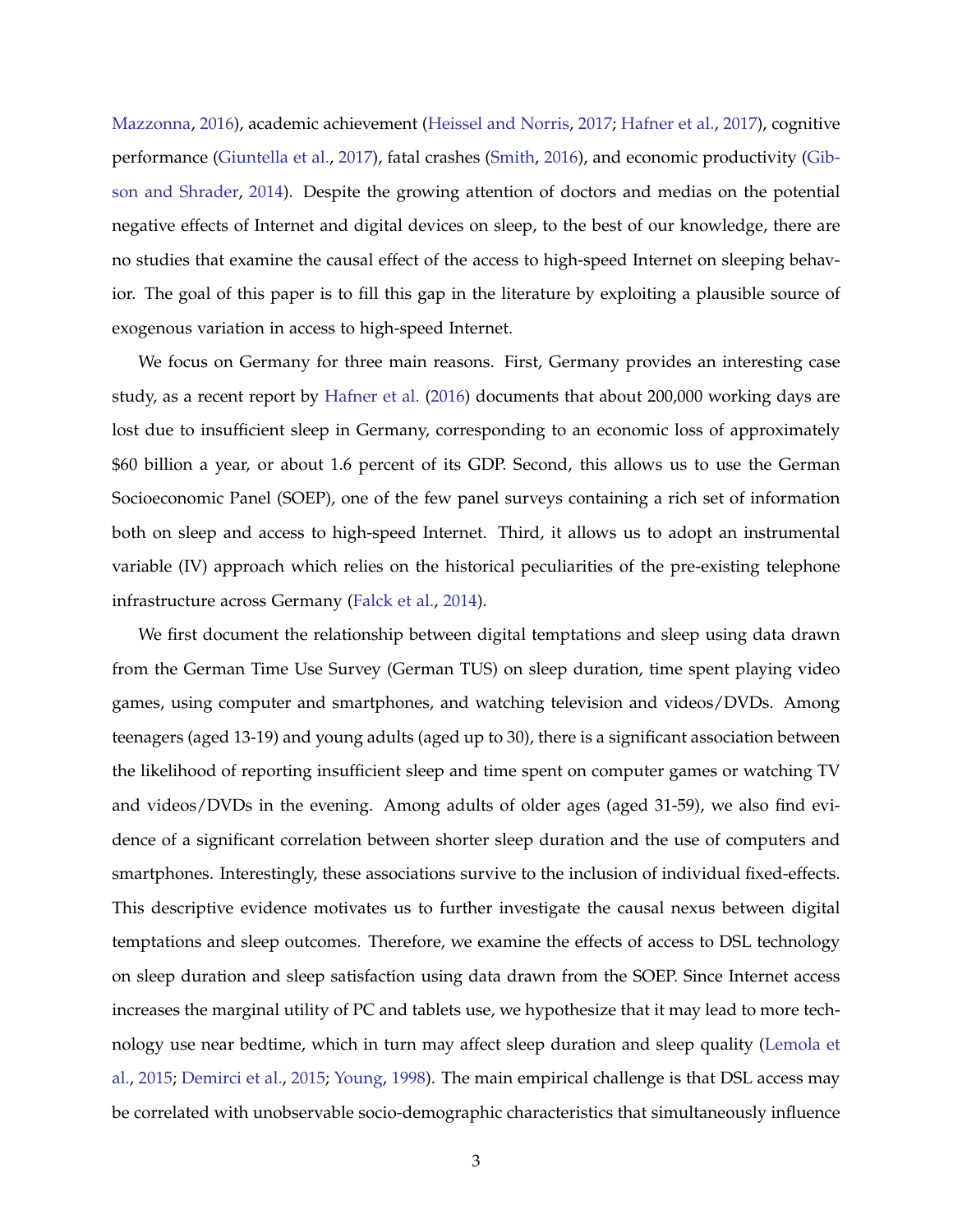[Mazzonna,](#page-15-2) [2016\)](#page-15-2), academic achievement [\(Heissel and Norris,](#page-16-1) [2017;](#page-16-1) [Hafner et al.,](#page-16-7) [2017\)](#page-16-7), cognitive performance [\(Giuntella et al.,](#page-15-3) [2017\)](#page-15-3), fatal crashes [\(Smith,](#page-17-1) [2016\)](#page-17-1), and economic productivity [\(Gib](#page-15-1)[son and Shrader,](#page-15-1) [2014\)](#page-15-1). Despite the growing attention of doctors and medias on the potential negative effects of Internet and digital devices on sleep, to the best of our knowledge, there are no studies that examine the causal effect of the access to high-speed Internet on sleeping behavior. The goal of this paper is to fill this gap in the literature by exploiting a plausible source of exogenous variation in access to high-speed Internet.

We focus on Germany for three main reasons. First, Germany provides an interesting case study, as a recent report by [Hafner et al.](#page-16-0) [\(2016\)](#page-16-0) documents that about 200,000 working days are lost due to insufficient sleep in Germany, corresponding to an economic loss of approximately \$60 billion a year, or about 1.6 percent of its GDP. Second, this allows us to use the German Socioeconomic Panel (SOEP), one of the few panel surveys containing a rich set of information both on sleep and access to high-speed Internet. Third, it allows us to adopt an instrumental variable (IV) approach which relies on the historical peculiarities of the pre-existing telephone infrastructure across Germany [\(Falck et al.,](#page-15-12) [2014\)](#page-15-12).

We first document the relationship between digital temptations and sleep using data drawn from the German Time Use Survey (German TUS) on sleep duration, time spent playing video games, using computer and smartphones, and watching television and videos/DVDs. Among teenagers (aged 13-19) and young adults (aged up to 30), there is a significant association between the likelihood of reporting insufficient sleep and time spent on computer games or watching TV and videos/DVDs in the evening. Among adults of older ages (aged 31-59), we also find evidence of a significant correlation between shorter sleep duration and the use of computers and smartphones. Interestingly, these associations survive to the inclusion of individual fixed-effects. This descriptive evidence motivates us to further investigate the causal nexus between digital temptations and sleep outcomes. Therefore, we examine the effects of access to DSL technology on sleep duration and sleep satisfaction using data drawn from the SOEP. Since Internet access increases the marginal utility of PC and tablets use, we hypothesize that it may lead to more technology use near bedtime, which in turn may affect sleep duration and sleep quality [\(Lemola et](#page-16-3) [al.,](#page-16-3) [2015;](#page-16-3) [Demirci et al.,](#page-15-13) [2015;](#page-15-13) [Young,](#page-17-2) [1998\)](#page-17-2). The main empirical challenge is that DSL access may be correlated with unobservable socio-demographic characteristics that simultaneously influence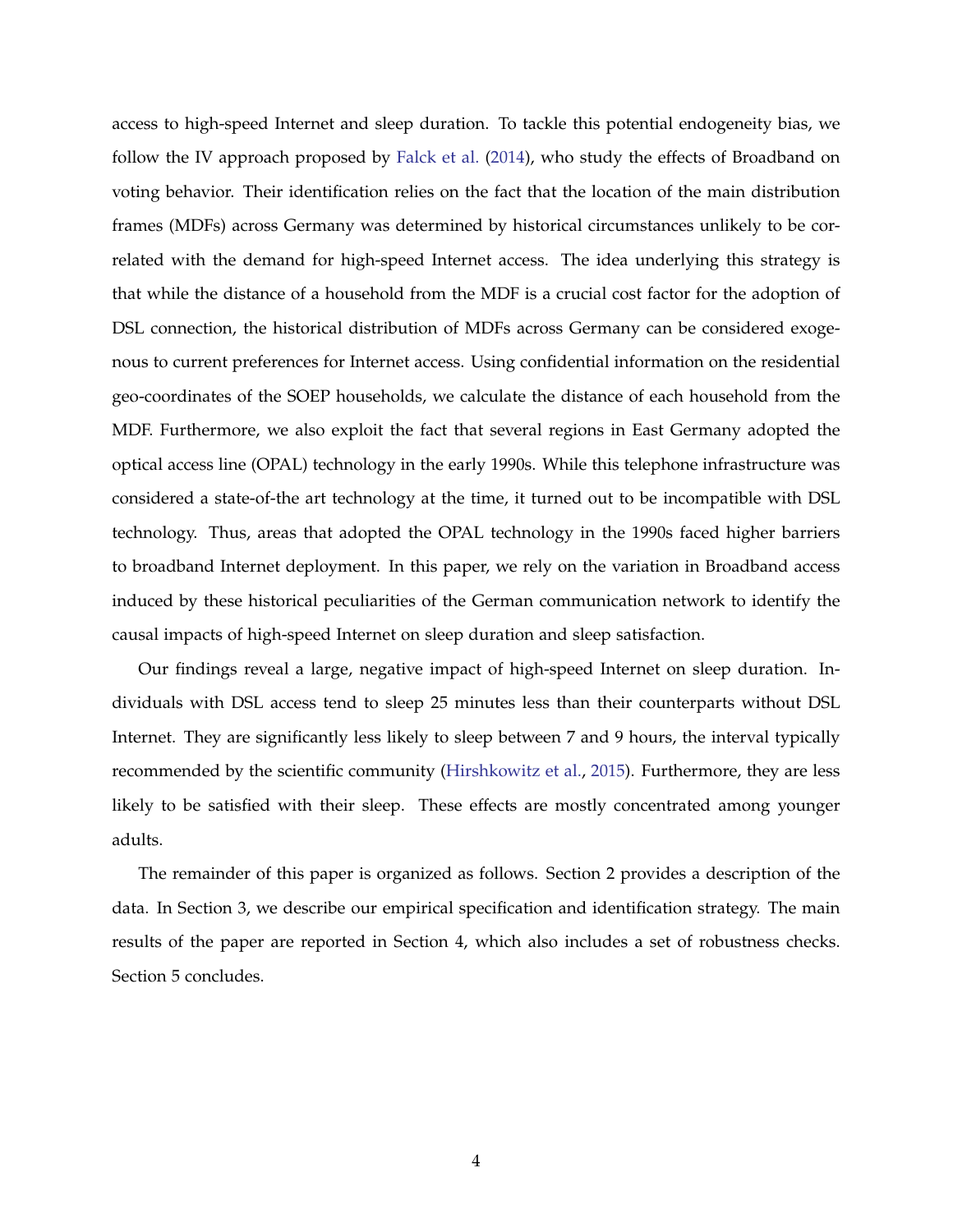access to high-speed Internet and sleep duration. To tackle this potential endogeneity bias, we follow the IV approach proposed by [Falck et al.](#page-15-12) [\(2014\)](#page-15-12), who study the effects of Broadband on voting behavior. Their identification relies on the fact that the location of the main distribution frames (MDFs) across Germany was determined by historical circumstances unlikely to be correlated with the demand for high-speed Internet access. The idea underlying this strategy is that while the distance of a household from the MDF is a crucial cost factor for the adoption of DSL connection, the historical distribution of MDFs across Germany can be considered exogenous to current preferences for Internet access. Using confidential information on the residential geo-coordinates of the SOEP households, we calculate the distance of each household from the MDF. Furthermore, we also exploit the fact that several regions in East Germany adopted the optical access line (OPAL) technology in the early 1990s. While this telephone infrastructure was considered a state-of-the art technology at the time, it turned out to be incompatible with DSL technology. Thus, areas that adopted the OPAL technology in the 1990s faced higher barriers to broadband Internet deployment. In this paper, we rely on the variation in Broadband access induced by these historical peculiarities of the German communication network to identify the causal impacts of high-speed Internet on sleep duration and sleep satisfaction.

Our findings reveal a large, negative impact of high-speed Internet on sleep duration. Individuals with DSL access tend to sleep 25 minutes less than their counterparts without DSL Internet. They are significantly less likely to sleep between 7 and 9 hours, the interval typically recommended by the scientific community [\(Hirshkowitz et al.,](#page-16-8) [2015\)](#page-16-8). Furthermore, they are less likely to be satisfied with their sleep. These effects are mostly concentrated among younger adults.

The remainder of this paper is organized as follows. Section 2 provides a description of the data. In Section 3, we describe our empirical specification and identification strategy. The main results of the paper are reported in Section 4, which also includes a set of robustness checks. Section 5 concludes.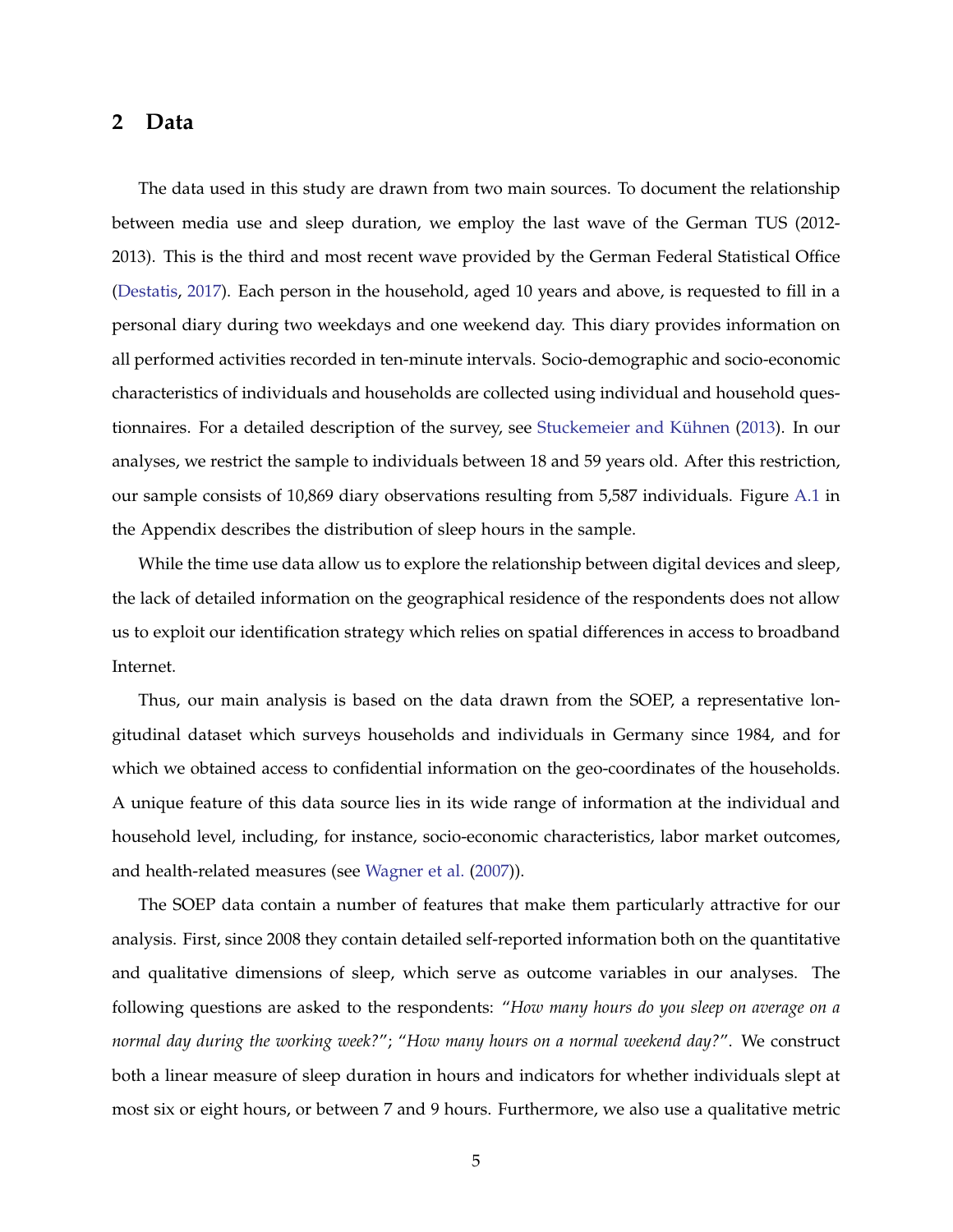### **2 Data**

The data used in this study are drawn from two main sources. To document the relationship between media use and sleep duration, we employ the last wave of the German TUS (2012- 2013). This is the third and most recent wave provided by the German Federal Statistical Office [\(Destatis,](#page-15-14) [2017\)](#page-15-14). Each person in the household, aged 10 years and above, is requested to fill in a personal diary during two weekdays and one weekend day. This diary provides information on all performed activities recorded in ten-minute intervals. Socio-demographic and socio-economic characteristics of individuals and households are collected using individual and household ques-tionnaires. For a detailed description of the survey, see Stuckemeier and Kühnen [\(2013\)](#page-17-3). In our analyses, we restrict the sample to individuals between 18 and 59 years old. After this restriction, our sample consists of 10,869 diary observations resulting from 5,587 individuals. Figure [A.1](#page-23-0) in the Appendix describes the distribution of sleep hours in the sample.

While the time use data allow us to explore the relationship between digital devices and sleep, the lack of detailed information on the geographical residence of the respondents does not allow us to exploit our identification strategy which relies on spatial differences in access to broadband Internet.

Thus, our main analysis is based on the data drawn from the SOEP, a representative longitudinal dataset which surveys households and individuals in Germany since 1984, and for which we obtained access to confidential information on the geo-coordinates of the households. A unique feature of this data source lies in its wide range of information at the individual and household level, including, for instance, socio-economic characteristics, labor market outcomes, and health-related measures (see [Wagner et al.](#page-17-4) [\(2007\)](#page-17-4)).

The SOEP data contain a number of features that make them particularly attractive for our analysis. First, since 2008 they contain detailed self-reported information both on the quantitative and qualitative dimensions of sleep, which serve as outcome variables in our analyses. The following questions are asked to the respondents: "*How many hours do you sleep on average on a normal day during the working week?*"; "*How many hours on a normal weekend day?*". We construct both a linear measure of sleep duration in hours and indicators for whether individuals slept at most six or eight hours, or between 7 and 9 hours. Furthermore, we also use a qualitative metric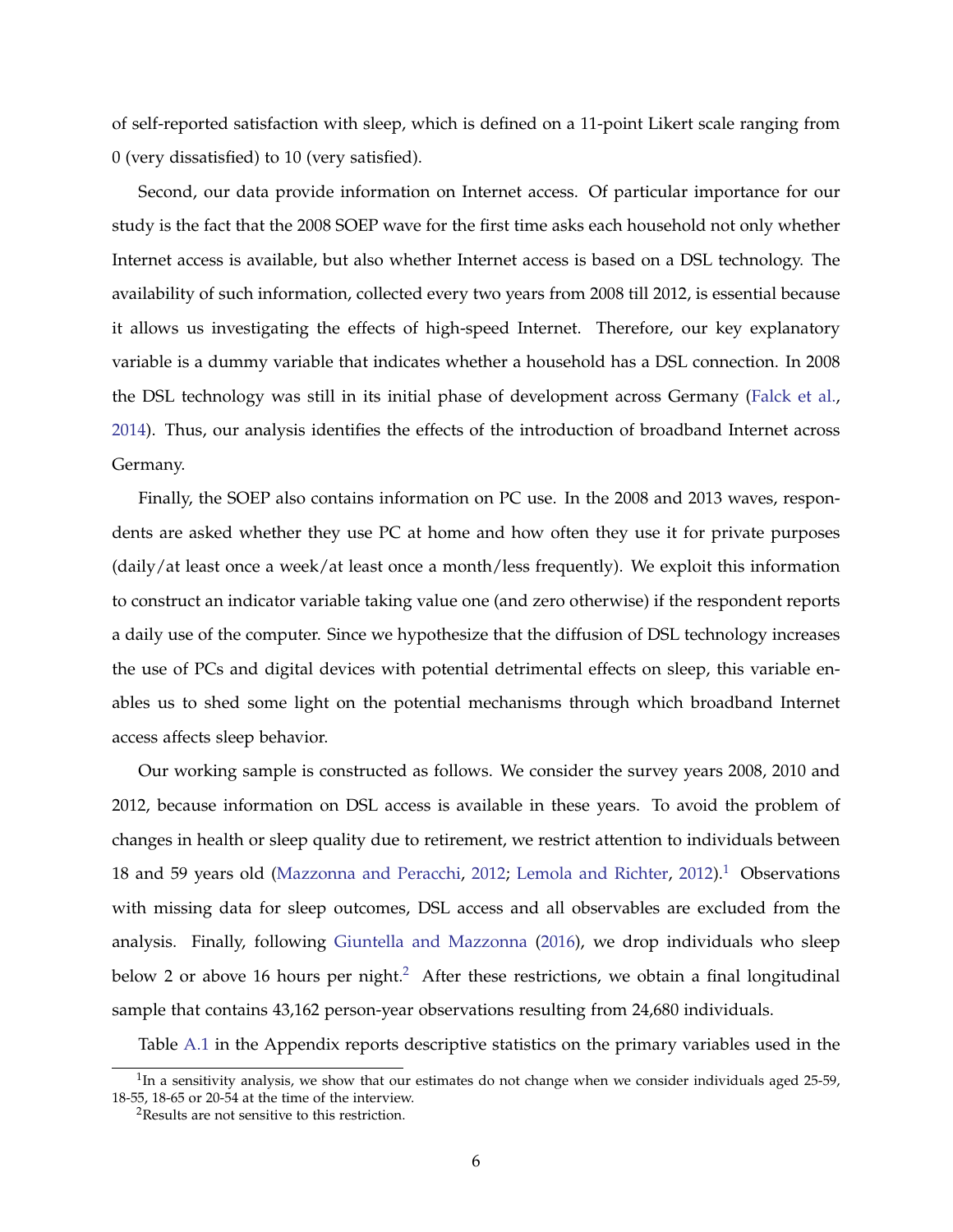of self-reported satisfaction with sleep, which is defined on a 11-point Likert scale ranging from 0 (very dissatisfied) to 10 (very satisfied).

Second, our data provide information on Internet access. Of particular importance for our study is the fact that the 2008 SOEP wave for the first time asks each household not only whether Internet access is available, but also whether Internet access is based on a DSL technology. The availability of such information, collected every two years from 2008 till 2012, is essential because it allows us investigating the effects of high-speed Internet. Therefore, our key explanatory variable is a dummy variable that indicates whether a household has a DSL connection. In 2008 the DSL technology was still in its initial phase of development across Germany [\(Falck et al.,](#page-15-12) [2014\)](#page-15-12). Thus, our analysis identifies the effects of the introduction of broadband Internet across Germany.

Finally, the SOEP also contains information on PC use. In the 2008 and 2013 waves, respondents are asked whether they use PC at home and how often they use it for private purposes (daily/at least once a week/at least once a month/less frequently). We exploit this information to construct an indicator variable taking value one (and zero otherwise) if the respondent reports a daily use of the computer. Since we hypothesize that the diffusion of DSL technology increases the use of PCs and digital devices with potential detrimental effects on sleep, this variable enables us to shed some light on the potential mechanisms through which broadband Internet access affects sleep behavior.

Our working sample is constructed as follows. We consider the survey years 2008, 2010 and 2012, because information on DSL access is available in these years. To avoid the problem of changes in health or sleep quality due to retirement, we restrict attention to individuals between 18 and 59 years old [\(Mazzonna and Peracchi,](#page-16-9) [2012;](#page-16-9) [Lemola and Richter,](#page-16-10) [2012\)](#page-16-10).<sup>[1](#page-5-0)</sup> Observations with missing data for sleep outcomes, DSL access and all observables are excluded from the analysis. Finally, following [Giuntella and Mazzonna](#page-15-2) [\(2016\)](#page-15-2), we drop individuals who sleep below [2](#page-5-1) or above 16 hours per night.<sup>2</sup> After these restrictions, we obtain a final longitudinal sample that contains 43,162 person-year observations resulting from 24,680 individuals.

Table [A.1](#page-25-0) in the Appendix reports descriptive statistics on the primary variables used in the

<span id="page-5-0"></span> $1$ In a sensitivity analysis, we show that our estimates do not change when we consider individuals aged 25-59, 18-55, 18-65 or 20-54 at the time of the interview.

<span id="page-5-1"></span><sup>&</sup>lt;sup>2</sup>Results are not sensitive to this restriction.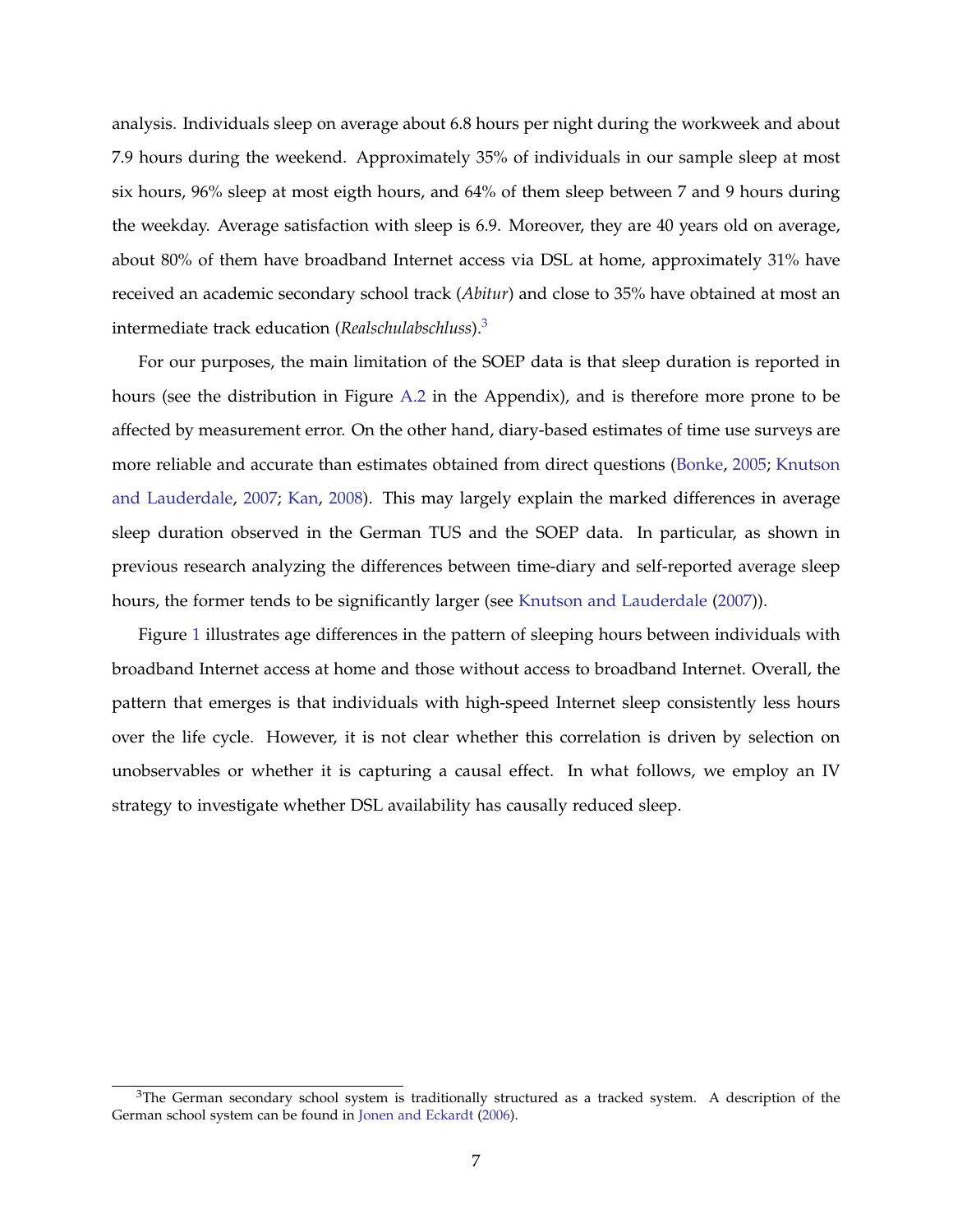analysis. Individuals sleep on average about 6.8 hours per night during the workweek and about 7.9 hours during the weekend. Approximately 35% of individuals in our sample sleep at most six hours, 96% sleep at most eigth hours, and 64% of them sleep between 7 and 9 hours during the weekday. Average satisfaction with sleep is 6.9. Moreover, they are 40 years old on average, about 80% of them have broadband Internet access via DSL at home, approximately 31% have received an academic secondary school track (*Abitur*) and close to 35% have obtained at most an intermediate track education (*Realschulabschluss*).[3](#page-6-0)

For our purposes, the main limitation of the SOEP data is that sleep duration is reported in hours (see the distribution in Figure [A.2](#page-24-0) in the Appendix), and is therefore more prone to be affected by measurement error. On the other hand, diary-based estimates of time use surveys are more reliable and accurate than estimates obtained from direct questions [\(Bonke,](#page-15-15) [2005;](#page-15-15) [Knutson](#page-16-11) [and Lauderdale,](#page-16-11) [2007;](#page-16-11) [Kan,](#page-16-12) [2008\)](#page-16-12). This may largely explain the marked differences in average sleep duration observed in the German TUS and the SOEP data. In particular, as shown in previous research analyzing the differences between time-diary and self-reported average sleep hours, the former tends to be significantly larger (see [Knutson and Lauderdale](#page-16-11) [\(2007\)](#page-16-11)).

Figure [1](#page-18-0) illustrates age differences in the pattern of sleeping hours between individuals with broadband Internet access at home and those without access to broadband Internet. Overall, the pattern that emerges is that individuals with high-speed Internet sleep consistently less hours over the life cycle. However, it is not clear whether this correlation is driven by selection on unobservables or whether it is capturing a causal effect. In what follows, we employ an IV strategy to investigate whether DSL availability has causally reduced sleep.

<span id="page-6-0"></span> $3$ The German secondary school system is traditionally structured as a tracked system. A description of the German school system can be found in [Jonen and Eckardt](#page-16-13) [\(2006\)](#page-16-13).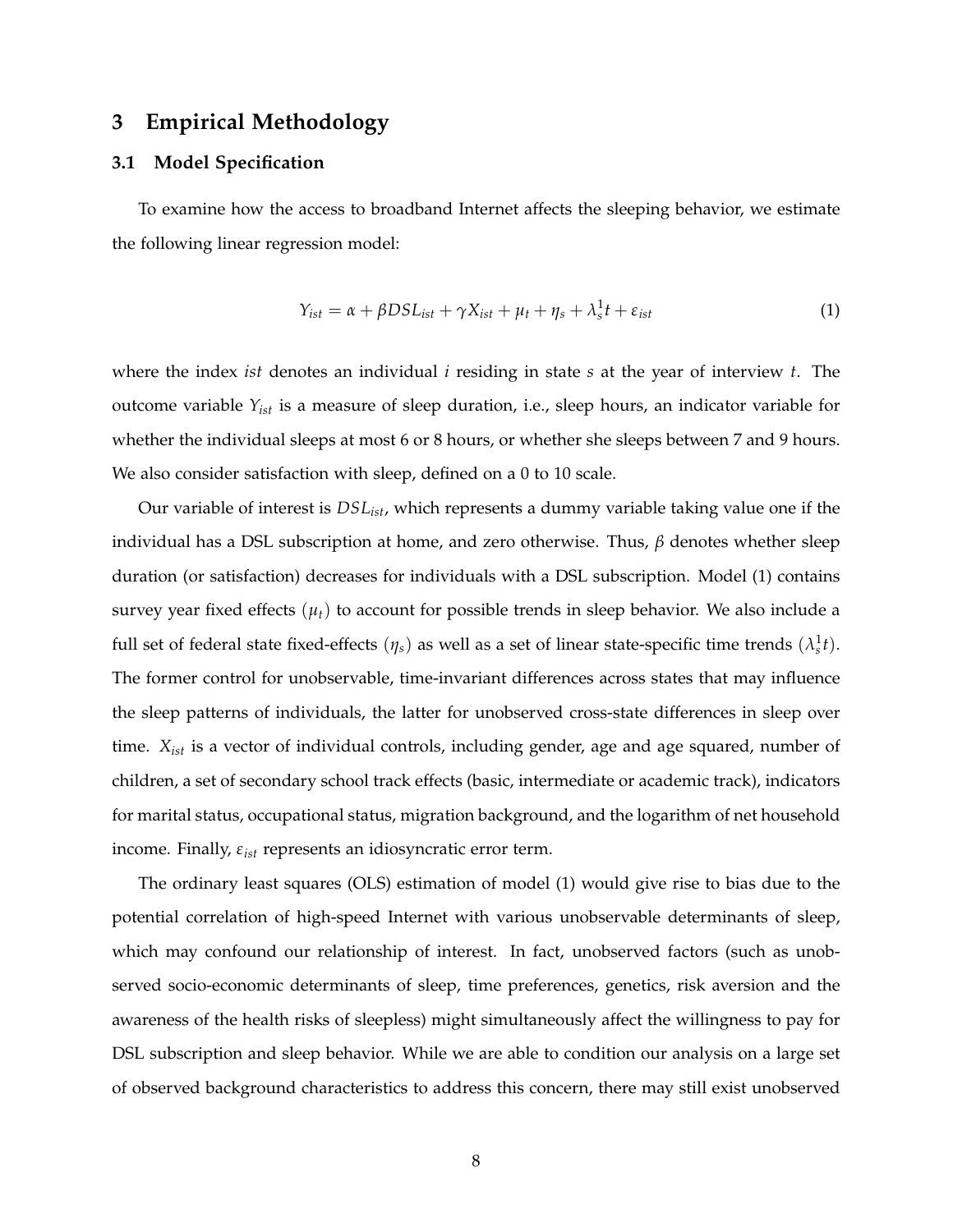### **3 Empirical Methodology**

### **3.1 Model Specification**

To examine how the access to broadband Internet affects the sleeping behavior, we estimate the following linear regression model:

$$
Y_{ist} = \alpha + \beta DSL_{ist} + \gamma X_{ist} + \mu_t + \eta_s + \lambda_s^1 t + \varepsilon_{ist}
$$
\n(1)

where the index *ist* denotes an individual *i* residing in state *s* at the year of interview *t*. The outcome variable *Yist* is a measure of sleep duration, i.e., sleep hours, an indicator variable for whether the individual sleeps at most 6 or 8 hours, or whether she sleeps between 7 and 9 hours. We also consider satisfaction with sleep, defined on a 0 to 10 scale.

Our variable of interest is *DSList*, which represents a dummy variable taking value one if the individual has a DSL subscription at home, and zero otherwise. Thus, *β* denotes whether sleep duration (or satisfaction) decreases for individuals with a DSL subscription. Model (1) contains survey year fixed effects  $(\mu_t)$  to account for possible trends in sleep behavior. We also include a full set of federal state fixed-effects  $(\eta_s)$  as well as a set of linear state-specific time trends  $(\lambda_s^1 t)$ . The former control for unobservable, time-invariant differences across states that may influence the sleep patterns of individuals, the latter for unobserved cross-state differences in sleep over time. *Xist* is a vector of individual controls, including gender, age and age squared, number of children, a set of secondary school track effects (basic, intermediate or academic track), indicators for marital status, occupational status, migration background, and the logarithm of net household income. Finally, *εist* represents an idiosyncratic error term.

The ordinary least squares (OLS) estimation of model (1) would give rise to bias due to the potential correlation of high-speed Internet with various unobservable determinants of sleep, which may confound our relationship of interest. In fact, unobserved factors (such as unobserved socio-economic determinants of sleep, time preferences, genetics, risk aversion and the awareness of the health risks of sleepless) might simultaneously affect the willingness to pay for DSL subscription and sleep behavior. While we are able to condition our analysis on a large set of observed background characteristics to address this concern, there may still exist unobserved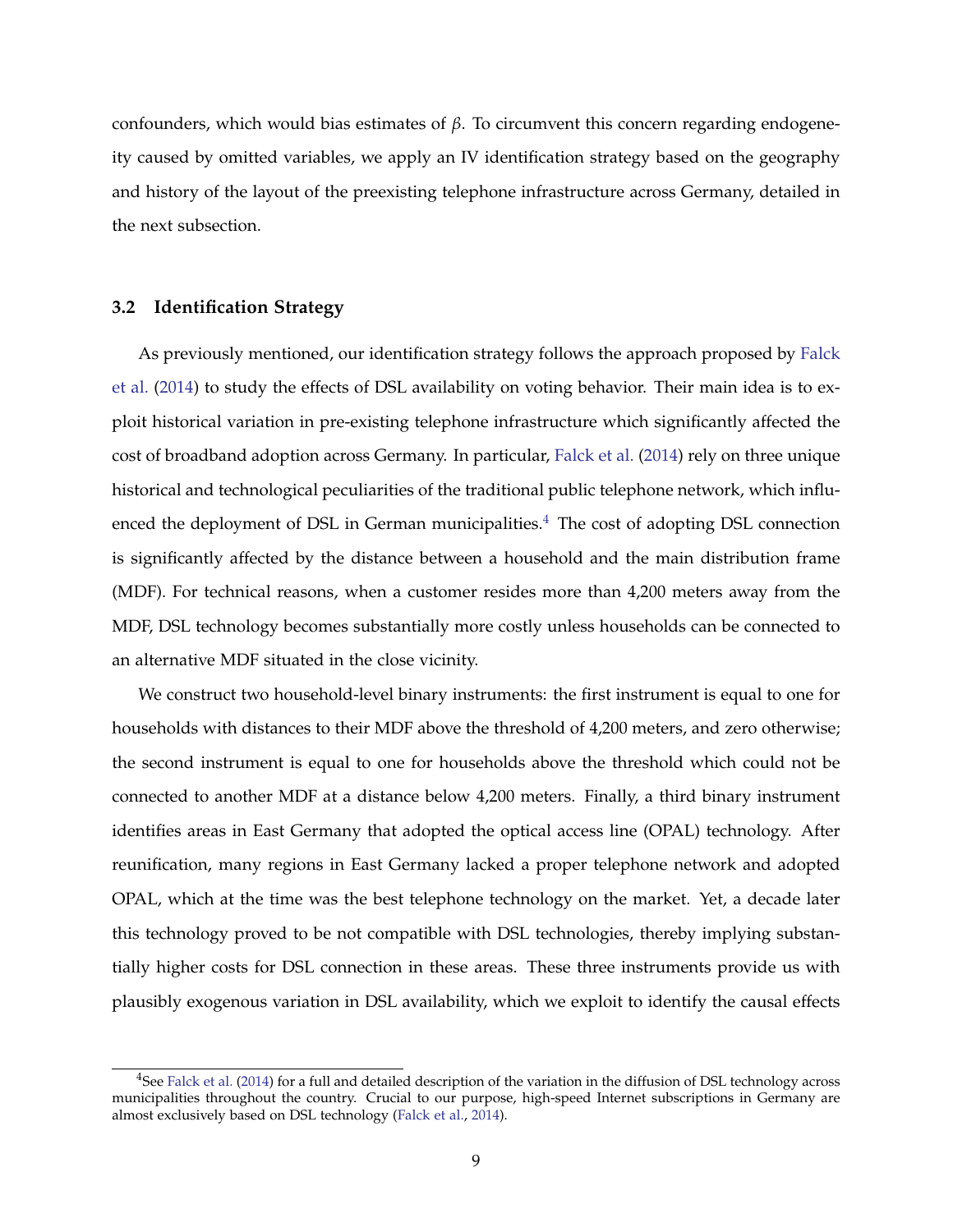confounders, which would bias estimates of *β*. To circumvent this concern regarding endogeneity caused by omitted variables, we apply an IV identification strategy based on the geography and history of the layout of the preexisting telephone infrastructure across Germany, detailed in the next subsection.

#### **3.2 Identification Strategy**

As previously mentioned, our identification strategy follows the approach proposed by [Falck](#page-15-12) [et al.](#page-15-12) [\(2014\)](#page-15-12) to study the effects of DSL availability on voting behavior. Their main idea is to exploit historical variation in pre-existing telephone infrastructure which significantly affected the cost of broadband adoption across Germany. In particular, [Falck et al.](#page-15-12) [\(2014\)](#page-15-12) rely on three unique historical and technological peculiarities of the traditional public telephone network, which influ-enced the deployment of DSL in German municipalities.<sup>[4](#page-8-0)</sup> The cost of adopting DSL connection is significantly affected by the distance between a household and the main distribution frame (MDF). For technical reasons, when a customer resides more than 4,200 meters away from the MDF, DSL technology becomes substantially more costly unless households can be connected to an alternative MDF situated in the close vicinity.

We construct two household-level binary instruments: the first instrument is equal to one for households with distances to their MDF above the threshold of 4,200 meters, and zero otherwise; the second instrument is equal to one for households above the threshold which could not be connected to another MDF at a distance below 4,200 meters. Finally, a third binary instrument identifies areas in East Germany that adopted the optical access line (OPAL) technology. After reunification, many regions in East Germany lacked a proper telephone network and adopted OPAL, which at the time was the best telephone technology on the market. Yet, a decade later this technology proved to be not compatible with DSL technologies, thereby implying substantially higher costs for DSL connection in these areas. These three instruments provide us with plausibly exogenous variation in DSL availability, which we exploit to identify the causal effects

<span id="page-8-0"></span> $4$ See [Falck et al.](#page-15-12) [\(2014\)](#page-15-12) for a full and detailed description of the variation in the diffusion of DSL technology across municipalities throughout the country. Crucial to our purpose, high-speed Internet subscriptions in Germany are almost exclusively based on DSL technology [\(Falck et al.,](#page-15-12) [2014\)](#page-15-12).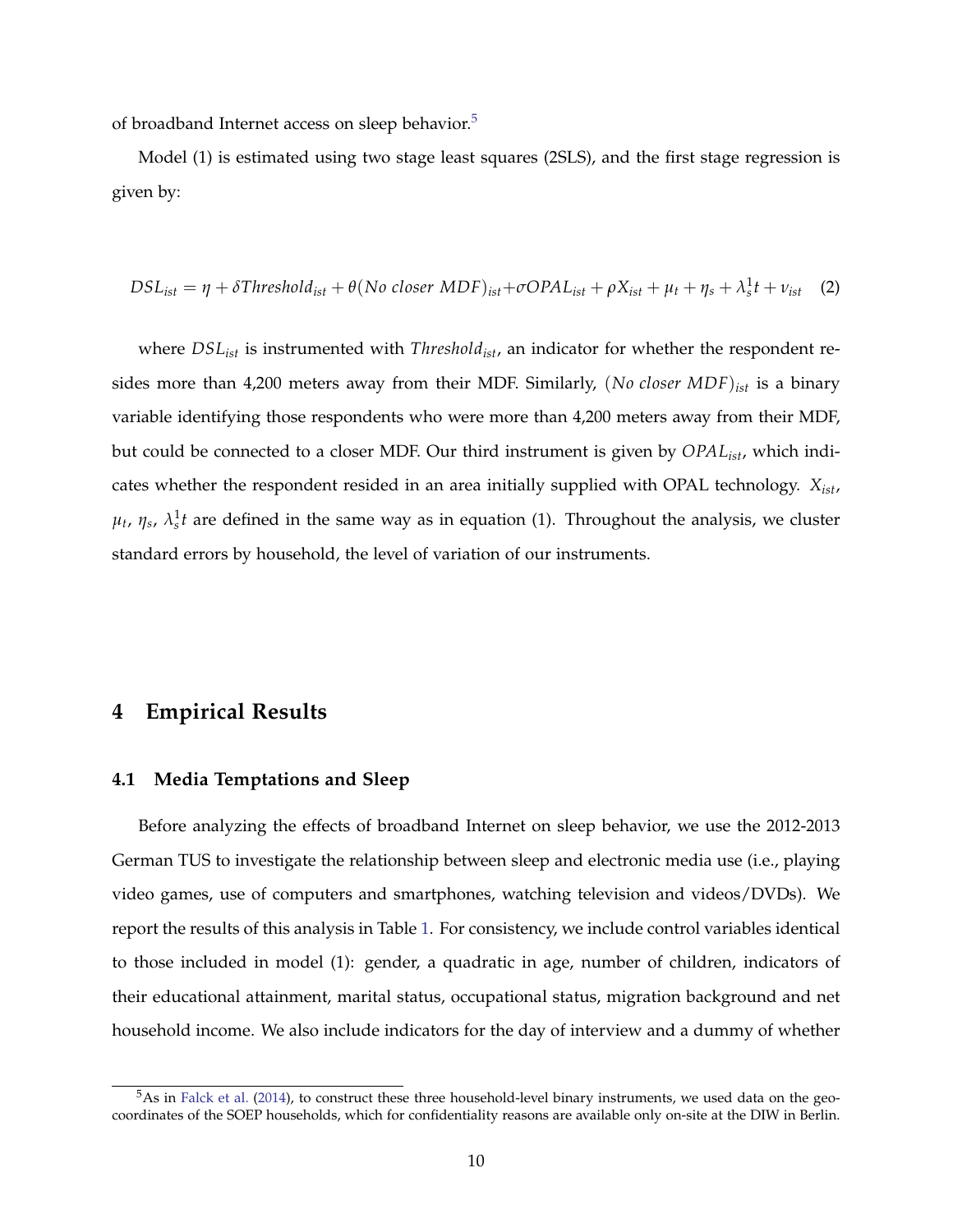of broadband Internet access on sleep behavior.<sup>[5](#page-9-0)</sup>

Model (1) is estimated using two stage least squares (2SLS), and the first stage regression is given by:

$$
DSL_{ist} = \eta + \delta Threshold_{ist} + \theta (No \ closer \ MDF)_{ist} + \sigma OPAL_{ist} + \rho X_{ist} + \mu_t + \eta_s + \lambda_s^1 t + \nu_{ist} \quad (2)
$$

where  $DSL_{ist}$  is instrumented with *Threshold<sub>ist</sub>*, an indicator for whether the respondent resides more than 4,200 meters away from their MDF. Similarly, (*No closer MDF*)*ist* is a binary variable identifying those respondents who were more than 4,200 meters away from their MDF, but could be connected to a closer MDF. Our third instrument is given by *OPAList*, which indicates whether the respondent resided in an area initially supplied with OPAL technology. *Xist*,  $\mu_t$ ,  $\eta_s$ ,  $\lambda_s^1$ *t* are defined in the same way as in equation (1). Throughout the analysis, we cluster standard errors by household, the level of variation of our instruments.

### **4 Empirical Results**

#### **4.1 Media Temptations and Sleep**

Before analyzing the effects of broadband Internet on sleep behavior, we use the 2012-2013 German TUS to investigate the relationship between sleep and electronic media use (i.e., playing video games, use of computers and smartphones, watching television and videos/DVDs). We report the results of this analysis in Table [1.](#page-19-0) For consistency, we include control variables identical to those included in model (1): gender, a quadratic in age, number of children, indicators of their educational attainment, marital status, occupational status, migration background and net household income. We also include indicators for the day of interview and a dummy of whether

<span id="page-9-0"></span> $5$ As in [Falck et al.](#page-15-12) [\(2014\)](#page-15-12), to construct these three household-level binary instruments, we used data on the geocoordinates of the SOEP households, which for confidentiality reasons are available only on-site at the DIW in Berlin.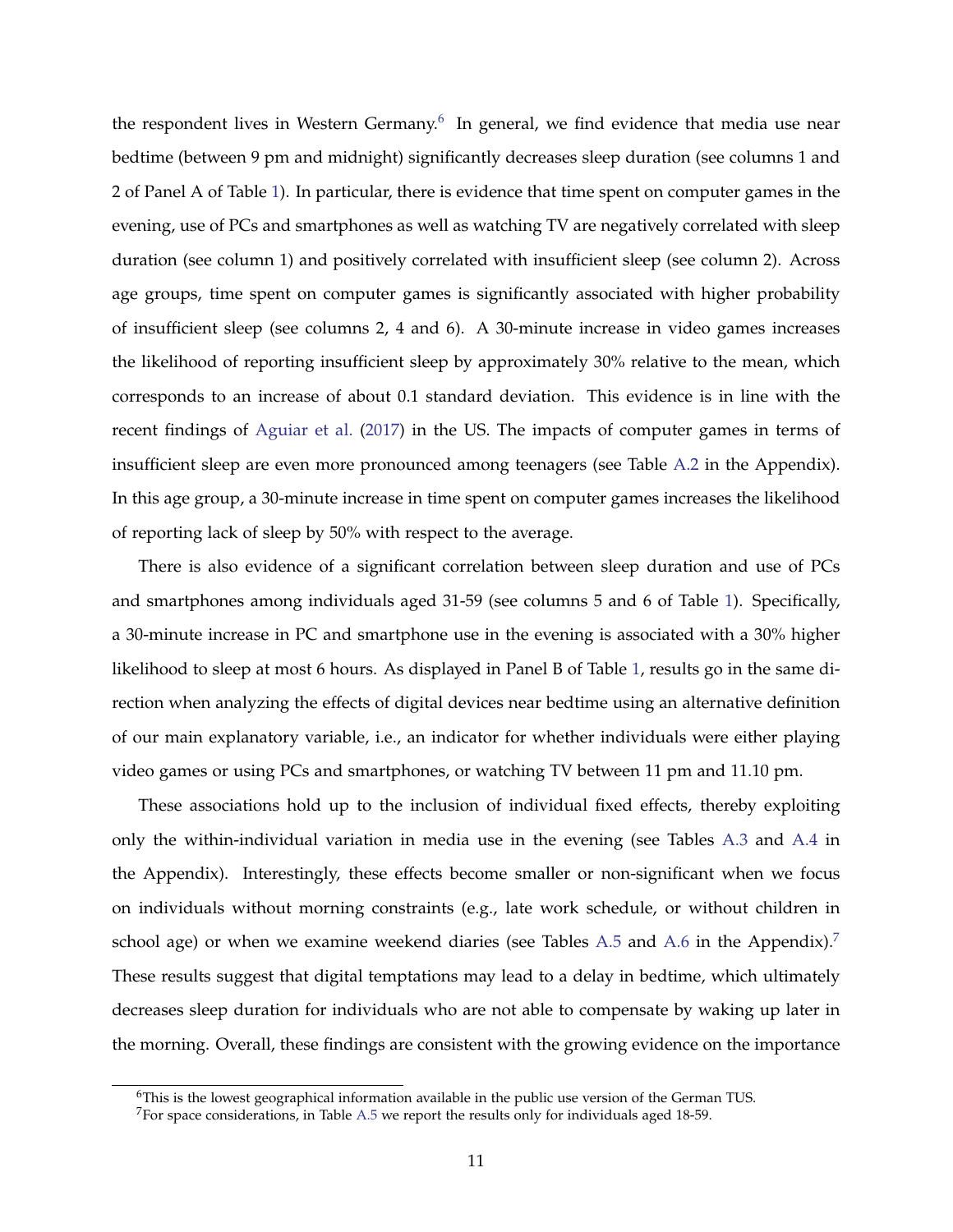the respondent lives in Western Germany. $^6$  $^6$  In general, we find evidence that media use near bedtime (between 9 pm and midnight) significantly decreases sleep duration (see columns 1 and 2 of Panel A of Table [1\)](#page-19-0). In particular, there is evidence that time spent on computer games in the evening, use of PCs and smartphones as well as watching TV are negatively correlated with sleep duration (see column 1) and positively correlated with insufficient sleep (see column 2). Across age groups, time spent on computer games is significantly associated with higher probability of insufficient sleep (see columns 2, 4 and 6). A 30-minute increase in video games increases the likelihood of reporting insufficient sleep by approximately 30% relative to the mean, which corresponds to an increase of about 0.1 standard deviation. This evidence is in line with the recent findings of [Aguiar et al.](#page-15-9) [\(2017\)](#page-15-9) in the US. The impacts of computer games in terms of insufficient sleep are even more pronounced among teenagers (see Table [A.2](#page-26-0) in the Appendix). In this age group, a 30-minute increase in time spent on computer games increases the likelihood of reporting lack of sleep by 50% with respect to the average.

There is also evidence of a significant correlation between sleep duration and use of PCs and smartphones among individuals aged 31-59 (see columns 5 and 6 of Table [1\)](#page-19-0). Specifically, a 30-minute increase in PC and smartphone use in the evening is associated with a 30% higher likelihood to sleep at most 6 hours. As displayed in Panel B of Table [1,](#page-19-0) results go in the same direction when analyzing the effects of digital devices near bedtime using an alternative definition of our main explanatory variable, i.e., an indicator for whether individuals were either playing video games or using PCs and smartphones, or watching TV between 11 pm and 11.10 pm.

These associations hold up to the inclusion of individual fixed effects, thereby exploiting only the within-individual variation in media use in the evening (see Tables [A.3](#page-27-0) and [A.4](#page-28-0) in the Appendix). Interestingly, these effects become smaller or non-significant when we focus on individuals without morning constraints (e.g., late work schedule, or without children in school age) or when we examine weekend diaries (see Tables [A.5](#page-29-0) and [A.6](#page-30-0) in the Appendix).<sup>[7](#page-10-1)</sup> These results suggest that digital temptations may lead to a delay in bedtime, which ultimately decreases sleep duration for individuals who are not able to compensate by waking up later in the morning. Overall, these findings are consistent with the growing evidence on the importance

<span id="page-10-0"></span> $6$ This is the lowest geographical information available in the public use version of the German TUS.

<span id="page-10-1"></span> $7$ For space considerations, in Table [A.5](#page-29-0) we report the results only for individuals aged 18-59.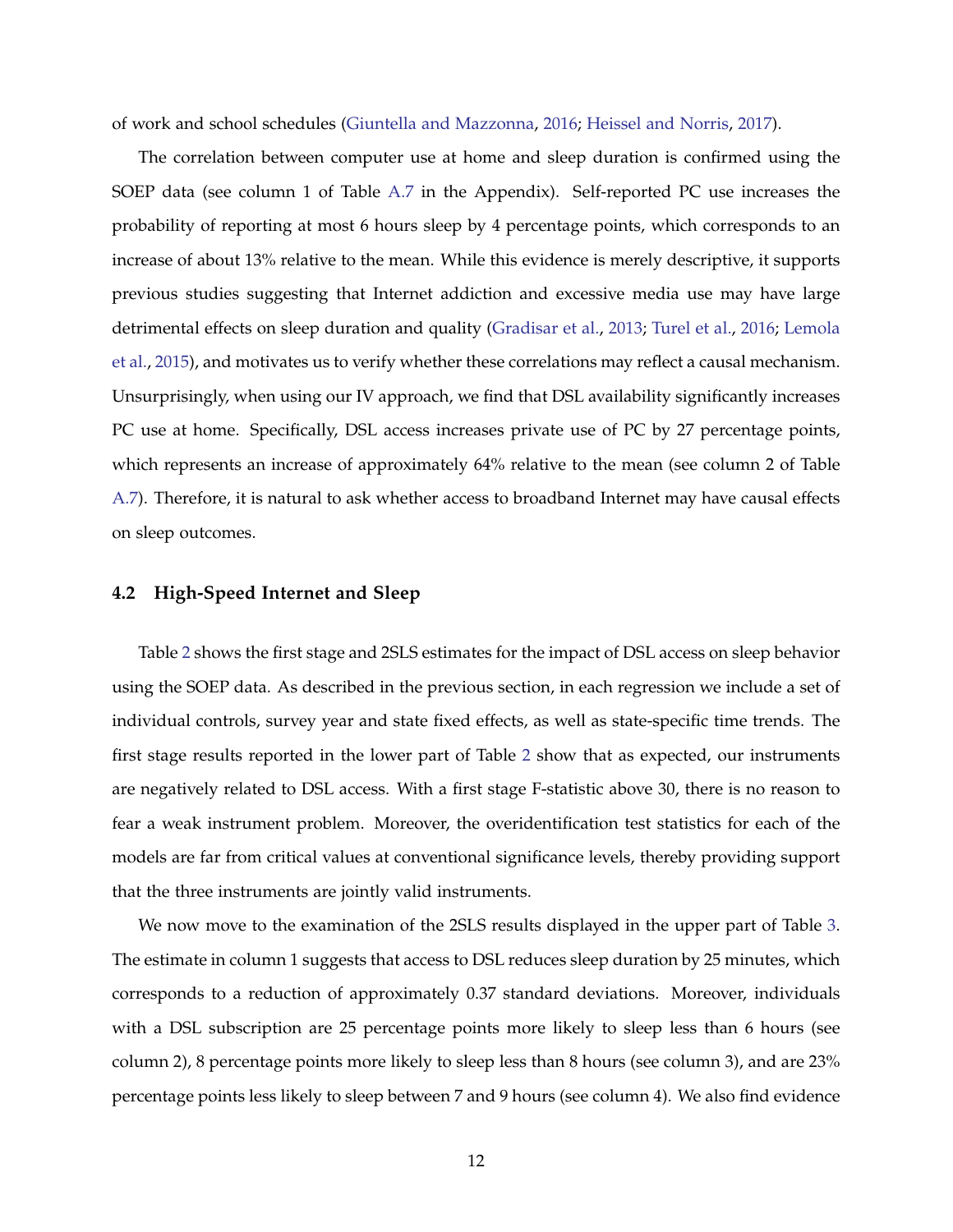of work and school schedules [\(Giuntella and Mazzonna,](#page-15-2) [2016;](#page-15-2) [Heissel and Norris,](#page-16-1) [2017\)](#page-16-1).

The correlation between computer use at home and sleep duration is confirmed using the SOEP data (see column 1 of Table [A.7](#page-31-0) in the Appendix). Self-reported PC use increases the probability of reporting at most 6 hours sleep by 4 percentage points, which corresponds to an increase of about 13% relative to the mean. While this evidence is merely descriptive, it supports previous studies suggesting that Internet addiction and excessive media use may have large detrimental effects on sleep duration and quality [\(Gradisar et al.,](#page-15-4) [2013;](#page-15-4) [Turel et al.,](#page-17-0) [2016;](#page-17-0) [Lemola](#page-16-3) [et al.,](#page-16-3) [2015\)](#page-16-3), and motivates us to verify whether these correlations may reflect a causal mechanism. Unsurprisingly, when using our IV approach, we find that DSL availability significantly increases PC use at home. Specifically, DSL access increases private use of PC by 27 percentage points, which represents an increase of approximately 64% relative to the mean (see column 2 of Table [A.7\)](#page-31-0). Therefore, it is natural to ask whether access to broadband Internet may have causal effects on sleep outcomes.

### **4.2 High-Speed Internet and Sleep**

Table [2](#page-20-0) shows the first stage and 2SLS estimates for the impact of DSL access on sleep behavior using the SOEP data. As described in the previous section, in each regression we include a set of individual controls, survey year and state fixed effects, as well as state-specific time trends. The first stage results reported in the lower part of Table [2](#page-20-0) show that as expected, our instruments are negatively related to DSL access. With a first stage F-statistic above 30, there is no reason to fear a weak instrument problem. Moreover, the overidentification test statistics for each of the models are far from critical values at conventional significance levels, thereby providing support that the three instruments are jointly valid instruments.

We now move to the examination of the 2SLS results displayed in the upper part of Table [3.](#page-21-0) The estimate in column 1 suggests that access to DSL reduces sleep duration by 25 minutes, which corresponds to a reduction of approximately 0.37 standard deviations. Moreover, individuals with a DSL subscription are 25 percentage points more likely to sleep less than 6 hours (see column 2), 8 percentage points more likely to sleep less than 8 hours (see column 3), and are 23% percentage points less likely to sleep between 7 and 9 hours (see column 4). We also find evidence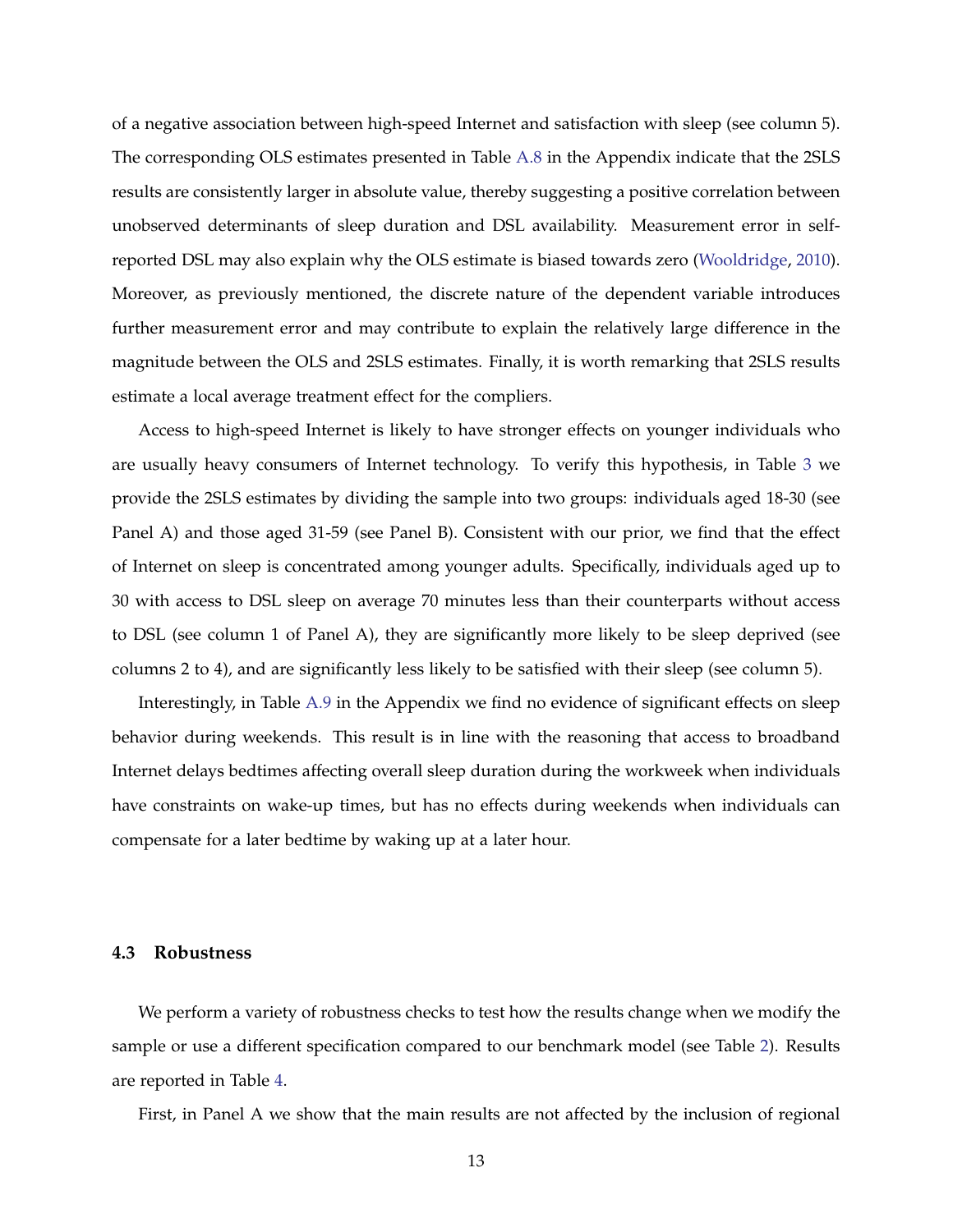of a negative association between high-speed Internet and satisfaction with sleep (see column 5). The corresponding OLS estimates presented in Table [A.8](#page-32-0) in the Appendix indicate that the 2SLS results are consistently larger in absolute value, thereby suggesting a positive correlation between unobserved determinants of sleep duration and DSL availability. Measurement error in selfreported DSL may also explain why the OLS estimate is biased towards zero [\(Wooldridge,](#page-17-5) [2010\)](#page-17-5). Moreover, as previously mentioned, the discrete nature of the dependent variable introduces further measurement error and may contribute to explain the relatively large difference in the magnitude between the OLS and 2SLS estimates. Finally, it is worth remarking that 2SLS results estimate a local average treatment effect for the compliers.

Access to high-speed Internet is likely to have stronger effects on younger individuals who are usually heavy consumers of Internet technology. To verify this hypothesis, in Table [3](#page-21-0) we provide the 2SLS estimates by dividing the sample into two groups: individuals aged 18-30 (see Panel A) and those aged 31-59 (see Panel B). Consistent with our prior, we find that the effect of Internet on sleep is concentrated among younger adults. Specifically, individuals aged up to 30 with access to DSL sleep on average 70 minutes less than their counterparts without access to DSL (see column 1 of Panel A), they are significantly more likely to be sleep deprived (see columns 2 to 4), and are significantly less likely to be satisfied with their sleep (see column 5).

Interestingly, in Table [A.9](#page-33-0) in the Appendix we find no evidence of significant effects on sleep behavior during weekends. This result is in line with the reasoning that access to broadband Internet delays bedtimes affecting overall sleep duration during the workweek when individuals have constraints on wake-up times, but has no effects during weekends when individuals can compensate for a later bedtime by waking up at a later hour.

#### **4.3 Robustness**

We perform a variety of robustness checks to test how the results change when we modify the sample or use a different specification compared to our benchmark model (see Table [2\)](#page-20-0). Results are reported in Table [4.](#page-22-0)

First, in Panel A we show that the main results are not affected by the inclusion of regional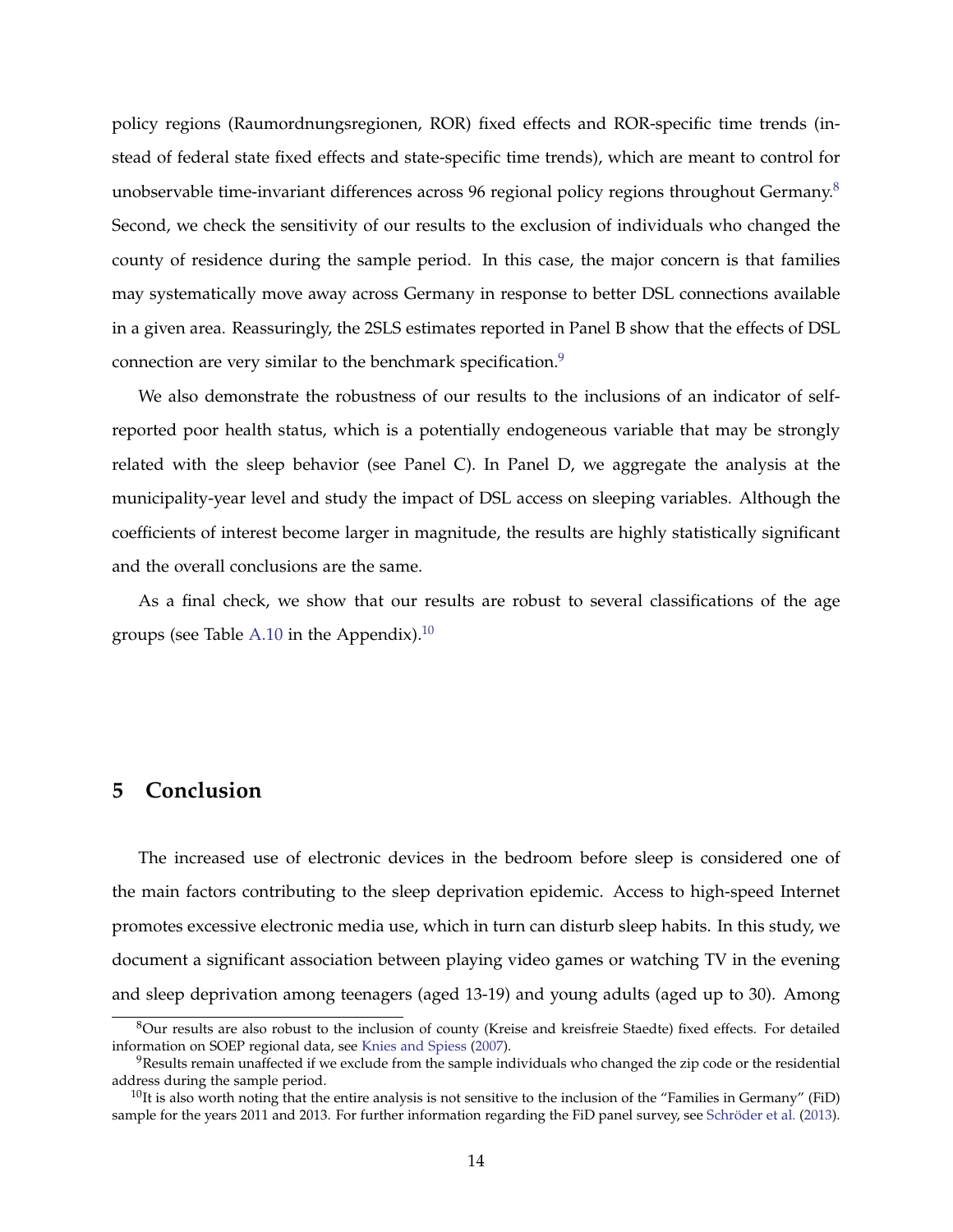policy regions (Raumordnungsregionen, ROR) fixed effects and ROR-specific time trends (instead of federal state fixed effects and state-specific time trends), which are meant to control for unobservable time-invariant differences across 96 regional policy regions throughout Germany.<sup>[8](#page-13-0)</sup> Second, we check the sensitivity of our results to the exclusion of individuals who changed the county of residence during the sample period. In this case, the major concern is that families may systematically move away across Germany in response to better DSL connections available in a given area. Reassuringly, the 2SLS estimates reported in Panel B show that the effects of DSL connection are very similar to the benchmark specification.<sup>[9](#page-13-1)</sup>

We also demonstrate the robustness of our results to the inclusions of an indicator of selfreported poor health status, which is a potentially endogeneous variable that may be strongly related with the sleep behavior (see Panel C). In Panel D, we aggregate the analysis at the municipality-year level and study the impact of DSL access on sleeping variables. Although the coefficients of interest become larger in magnitude, the results are highly statistically significant and the overall conclusions are the same.

As a final check, we show that our results are robust to several classifications of the age groups (see Table [A.10](#page-34-0) in the Appendix).<sup>[10](#page-13-2)</sup>

### **5 Conclusion**

The increased use of electronic devices in the bedroom before sleep is considered one of the main factors contributing to the sleep deprivation epidemic. Access to high-speed Internet promotes excessive electronic media use, which in turn can disturb sleep habits. In this study, we document a significant association between playing video games or watching TV in the evening and sleep deprivation among teenagers (aged 13-19) and young adults (aged up to 30). Among

<span id="page-13-0"></span> $8$ Our results are also robust to the inclusion of county (Kreise and kreisfreie Staedte) fixed effects. For detailed information on SOEP regional data, see [Knies and Spiess](#page-16-14) [\(2007\)](#page-16-14).

<span id="page-13-1"></span> $9$ Results remain unaffected if we exclude from the sample individuals who changed the zip code or the residential address during the sample period.

<span id="page-13-2"></span> $10$ It is also worth noting that the entire analysis is not sensitive to the inclusion of the "Families in Germany" (FiD) sample for the years 2011 and 2013. For further information regarding the FiD panel survey, see Schröder et al. [\(2013\)](#page-16-15).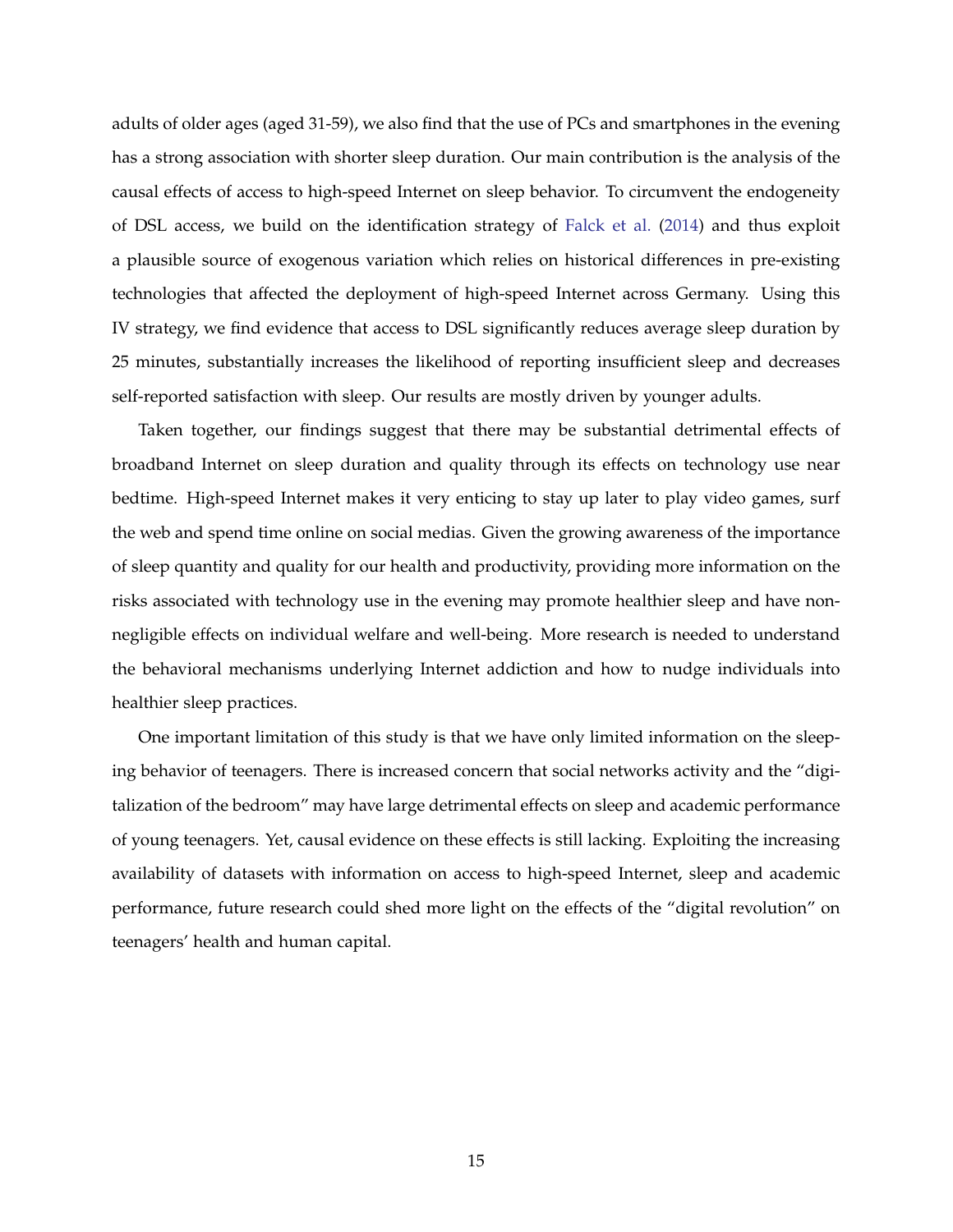adults of older ages (aged 31-59), we also find that the use of PCs and smartphones in the evening has a strong association with shorter sleep duration. Our main contribution is the analysis of the causal effects of access to high-speed Internet on sleep behavior. To circumvent the endogeneity of DSL access, we build on the identification strategy of [Falck et al.](#page-15-12) [\(2014\)](#page-15-12) and thus exploit a plausible source of exogenous variation which relies on historical differences in pre-existing technologies that affected the deployment of high-speed Internet across Germany. Using this IV strategy, we find evidence that access to DSL significantly reduces average sleep duration by 25 minutes, substantially increases the likelihood of reporting insufficient sleep and decreases self-reported satisfaction with sleep. Our results are mostly driven by younger adults.

Taken together, our findings suggest that there may be substantial detrimental effects of broadband Internet on sleep duration and quality through its effects on technology use near bedtime. High-speed Internet makes it very enticing to stay up later to play video games, surf the web and spend time online on social medias. Given the growing awareness of the importance of sleep quantity and quality for our health and productivity, providing more information on the risks associated with technology use in the evening may promote healthier sleep and have nonnegligible effects on individual welfare and well-being. More research is needed to understand the behavioral mechanisms underlying Internet addiction and how to nudge individuals into healthier sleep practices.

One important limitation of this study is that we have only limited information on the sleeping behavior of teenagers. There is increased concern that social networks activity and the "digitalization of the bedroom" may have large detrimental effects on sleep and academic performance of young teenagers. Yet, causal evidence on these effects is still lacking. Exploiting the increasing availability of datasets with information on access to high-speed Internet, sleep and academic performance, future research could shed more light on the effects of the "digital revolution" on teenagers' health and human capital.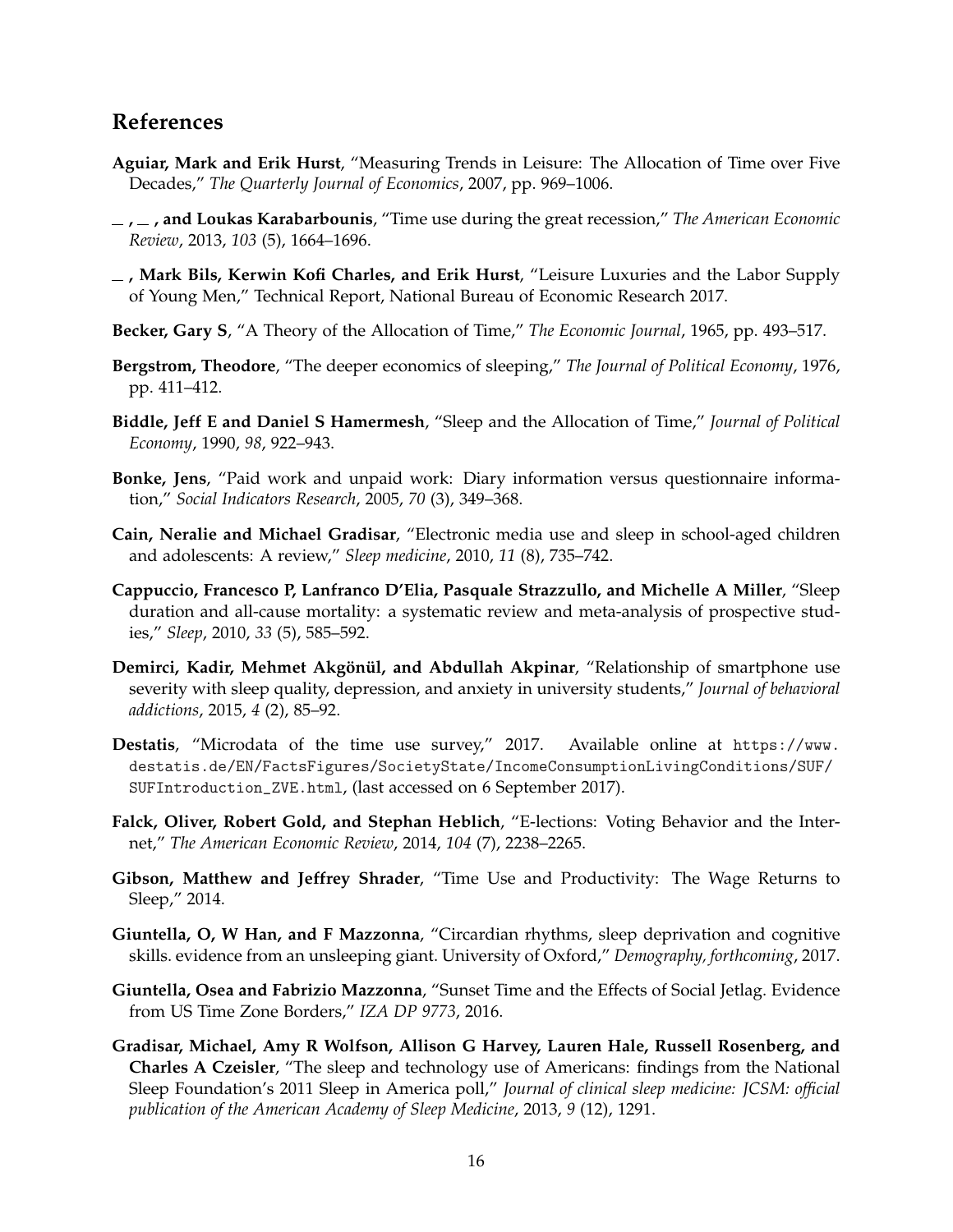### **References**

- <span id="page-15-7"></span>**Aguiar, Mark and Erik Hurst**, "Measuring Trends in Leisure: The Allocation of Time over Five Decades," *The Quarterly Journal of Economics*, 2007, pp. 969–1006.
- <span id="page-15-8"></span>**, , and Loukas Karabarbounis**, "Time use during the great recession," *The American Economic Review*, 2013, *103* (5), 1664–1696.
- <span id="page-15-9"></span>**, Mark Bils, Kerwin Kofi Charles, and Erik Hurst**, "Leisure Luxuries and the Labor Supply of Young Men," Technical Report, National Bureau of Economic Research 2017.
- <span id="page-15-6"></span>**Becker, Gary S**, "A Theory of the Allocation of Time," *The Economic Journal*, 1965, pp. 493–517.
- <span id="page-15-10"></span>**Bergstrom, Theodore**, "The deeper economics of sleeping," *The Journal of Political Economy*, 1976, pp. 411–412.
- <span id="page-15-11"></span>**Biddle, Jeff E and Daniel S Hamermesh**, "Sleep and the Allocation of Time," *Journal of Political Economy*, 1990, *98*, 922–943.
- <span id="page-15-15"></span>**Bonke, Jens**, "Paid work and unpaid work: Diary information versus questionnaire information," *Social Indicators Research*, 2005, *70* (3), 349–368.
- <span id="page-15-5"></span>**Cain, Neralie and Michael Gradisar**, "Electronic media use and sleep in school-aged children and adolescents: A review," *Sleep medicine*, 2010, *11* (8), 735–742.
- <span id="page-15-0"></span>**Cappuccio, Francesco P, Lanfranco D'Elia, Pasquale Strazzullo, and Michelle A Miller**, "Sleep duration and all-cause mortality: a systematic review and meta-analysis of prospective studies," *Sleep*, 2010, *33* (5), 585–592.
- <span id="page-15-13"></span>**Demirci, Kadir, Mehmet Akgönül, and Abdullah Akpinar, "Relationship of smartphone use** severity with sleep quality, depression, and anxiety in university students," *Journal of behavioral addictions*, 2015, *4* (2), 85–92.
- <span id="page-15-14"></span>**Destatis**, "Microdata of the time use survey," 2017. Available online at [https://www.](https://www.destatis.de/EN/FactsFigures/SocietyState/IncomeConsumptionLivingConditions/SUF/SUFIntroduction_ZVE.html) [destatis.de/EN/FactsFigures/SocietyState/IncomeConsumptionLivingConditions/SUF/](https://www.destatis.de/EN/FactsFigures/SocietyState/IncomeConsumptionLivingConditions/SUF/SUFIntroduction_ZVE.html) [SUFIntroduction\\_ZVE.html](https://www.destatis.de/EN/FactsFigures/SocietyState/IncomeConsumptionLivingConditions/SUF/SUFIntroduction_ZVE.html), (last accessed on 6 September 2017).
- <span id="page-15-12"></span>**Falck, Oliver, Robert Gold, and Stephan Heblich**, "E-lections: Voting Behavior and the Internet," *The American Economic Review*, 2014, *104* (7), 2238–2265.
- <span id="page-15-1"></span>**Gibson, Matthew and Jeffrey Shrader**, "Time Use and Productivity: The Wage Returns to Sleep," 2014.
- <span id="page-15-3"></span>**Giuntella, O, W Han, and F Mazzonna**, "Circardian rhythms, sleep deprivation and cognitive skills. evidence from an unsleeping giant. University of Oxford," *Demography, forthcoming*, 2017.
- <span id="page-15-2"></span>**Giuntella, Osea and Fabrizio Mazzonna**, "Sunset Time and the Effects of Social Jetlag. Evidence from US Time Zone Borders," *IZA DP 9773*, 2016.
- <span id="page-15-4"></span>**Gradisar, Michael, Amy R Wolfson, Allison G Harvey, Lauren Hale, Russell Rosenberg, and Charles A Czeisler**, "The sleep and technology use of Americans: findings from the National Sleep Foundation's 2011 Sleep in America poll," *Journal of clinical sleep medicine: JCSM: official publication of the American Academy of Sleep Medicine*, 2013, *9* (12), 1291.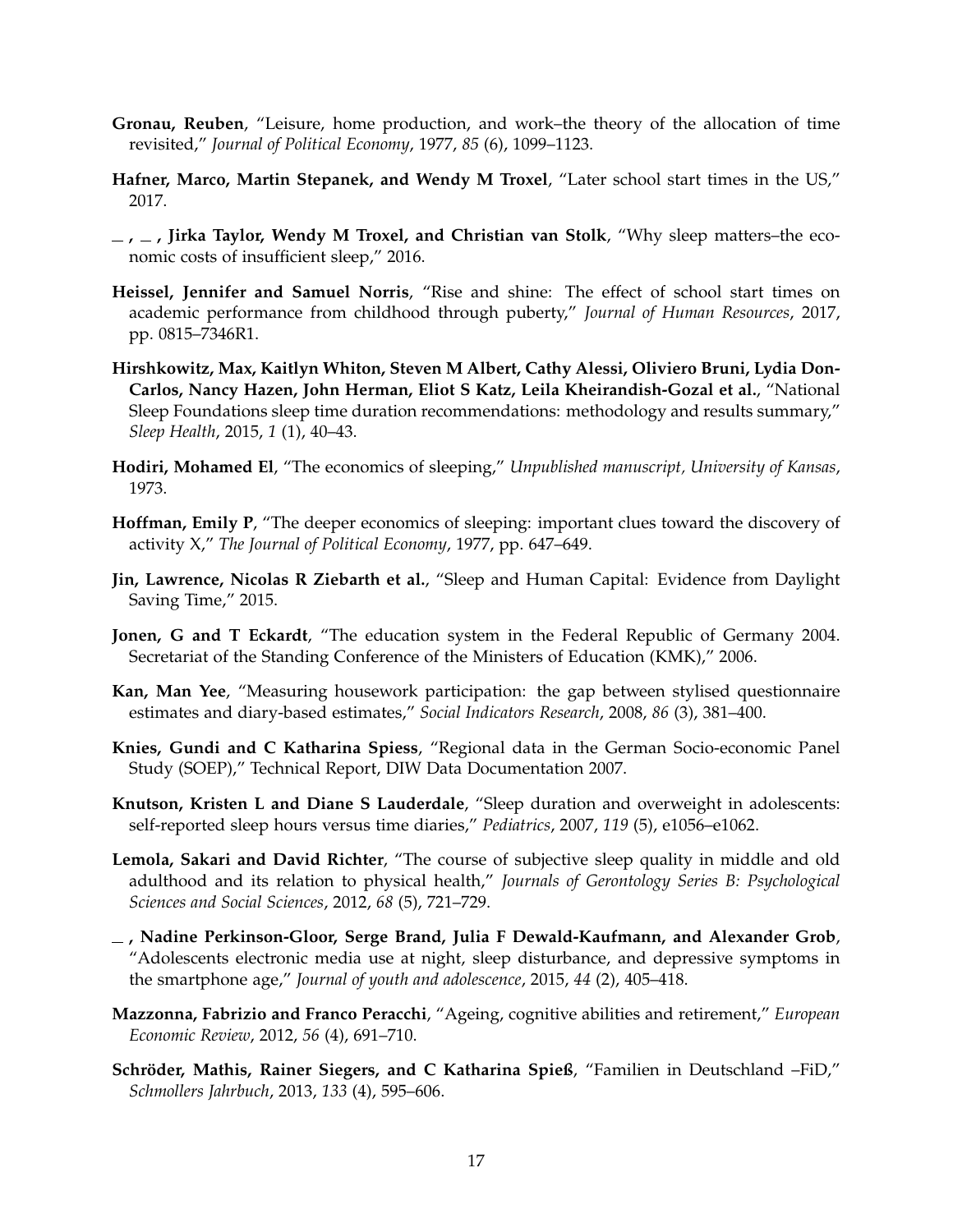- <span id="page-16-4"></span>**Gronau, Reuben**, "Leisure, home production, and work–the theory of the allocation of time revisited," *Journal of Political Economy*, 1977, *85* (6), 1099–1123.
- <span id="page-16-7"></span>**Hafner, Marco, Martin Stepanek, and Wendy M Troxel**, "Later school start times in the US," 2017.
- <span id="page-16-0"></span>**, , Jirka Taylor, Wendy M Troxel, and Christian van Stolk**, "Why sleep matters–the economic costs of insufficient sleep," 2016.
- <span id="page-16-1"></span>**Heissel, Jennifer and Samuel Norris**, "Rise and shine: The effect of school start times on academic performance from childhood through puberty," *Journal of Human Resources*, 2017, pp. 0815–7346R1.
- <span id="page-16-8"></span>**Hirshkowitz, Max, Kaitlyn Whiton, Steven M Albert, Cathy Alessi, Oliviero Bruni, Lydia Don-Carlos, Nancy Hazen, John Herman, Eliot S Katz, Leila Kheirandish-Gozal et al.**, "National Sleep Foundations sleep time duration recommendations: methodology and results summary," *Sleep Health*, 2015, *1* (1), 40–43.
- <span id="page-16-5"></span>**Hodiri, Mohamed El**, "The economics of sleeping," *Unpublished manuscript, University of Kansas*, 1973.
- <span id="page-16-6"></span>**Hoffman, Emily P**, "The deeper economics of sleeping: important clues toward the discovery of activity X," *The Journal of Political Economy*, 1977, pp. 647–649.
- <span id="page-16-2"></span>**Jin, Lawrence, Nicolas R Ziebarth et al.**, "Sleep and Human Capital: Evidence from Daylight Saving Time," 2015.
- <span id="page-16-13"></span>**Jonen, G and T Eckardt**, "The education system in the Federal Republic of Germany 2004. Secretariat of the Standing Conference of the Ministers of Education (KMK)," 2006.
- <span id="page-16-12"></span>**Kan, Man Yee**, "Measuring housework participation: the gap between stylised questionnaire estimates and diary-based estimates," *Social Indicators Research*, 2008, *86* (3), 381–400.
- <span id="page-16-14"></span>**Knies, Gundi and C Katharina Spiess**, "Regional data in the German Socio-economic Panel Study (SOEP)," Technical Report, DIW Data Documentation 2007.
- <span id="page-16-11"></span>**Knutson, Kristen L and Diane S Lauderdale**, "Sleep duration and overweight in adolescents: self-reported sleep hours versus time diaries," *Pediatrics*, 2007, *119* (5), e1056–e1062.
- <span id="page-16-10"></span>**Lemola, Sakari and David Richter**, "The course of subjective sleep quality in middle and old adulthood and its relation to physical health," *Journals of Gerontology Series B: Psychological Sciences and Social Sciences*, 2012, *68* (5), 721–729.
- <span id="page-16-3"></span>**, Nadine Perkinson-Gloor, Serge Brand, Julia F Dewald-Kaufmann, and Alexander Grob**, "Adolescents electronic media use at night, sleep disturbance, and depressive symptoms in the smartphone age," *Journal of youth and adolescence*, 2015, *44* (2), 405–418.
- <span id="page-16-9"></span>**Mazzonna, Fabrizio and Franco Peracchi**, "Ageing, cognitive abilities and retirement," *European Economic Review*, 2012, *56* (4), 691–710.
- <span id="page-16-15"></span>Schröder, Mathis, Rainer Siegers, and C Katharina Spieß, "Familien in Deutschland -FiD," *Schmollers Jahrbuch*, 2013, *133* (4), 595–606.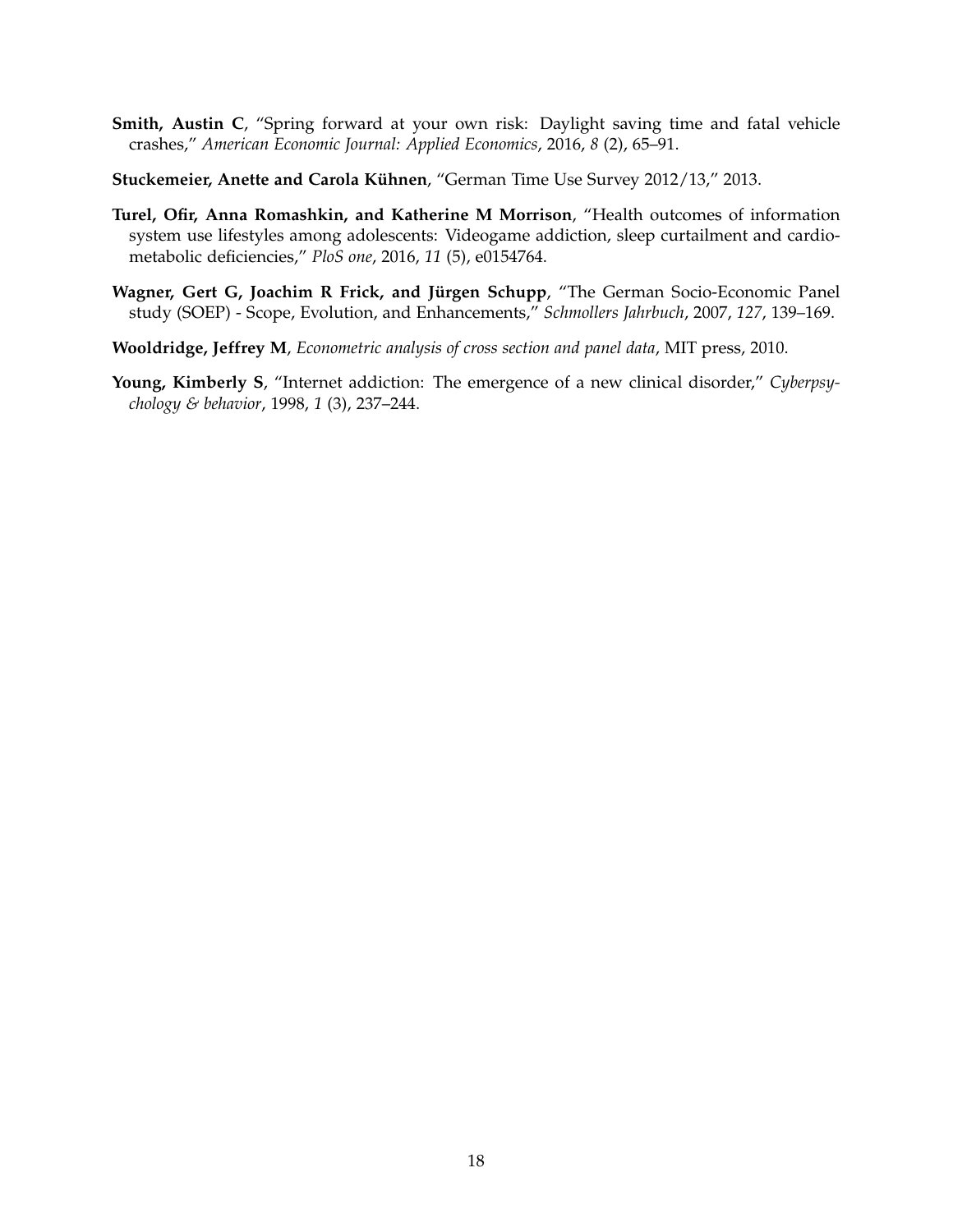- <span id="page-17-1"></span>**Smith, Austin C**, "Spring forward at your own risk: Daylight saving time and fatal vehicle crashes," *American Economic Journal: Applied Economics*, 2016, *8* (2), 65–91.
- <span id="page-17-3"></span>**Stuckemeier, Anette and Carola Kühnen, "German Time Use Survey 2012/13," 2013.**
- <span id="page-17-0"></span>**Turel, Ofir, Anna Romashkin, and Katherine M Morrison**, "Health outcomes of information system use lifestyles among adolescents: Videogame addiction, sleep curtailment and cardiometabolic deficiencies," *PloS one*, 2016, *11* (5), e0154764.
- <span id="page-17-4"></span>Wagner, Gert G, Joachim R Frick, and Jürgen Schupp, "The German Socio-Economic Panel study (SOEP) - Scope, Evolution, and Enhancements," *Schmollers Jahrbuch*, 2007, *127*, 139–169.
- <span id="page-17-5"></span>**Wooldridge, Jeffrey M**, *Econometric analysis of cross section and panel data*, MIT press, 2010.
- <span id="page-17-2"></span>**Young, Kimberly S**, "Internet addiction: The emergence of a new clinical disorder," *Cyberpsychology & behavior*, 1998, *1* (3), 237–244.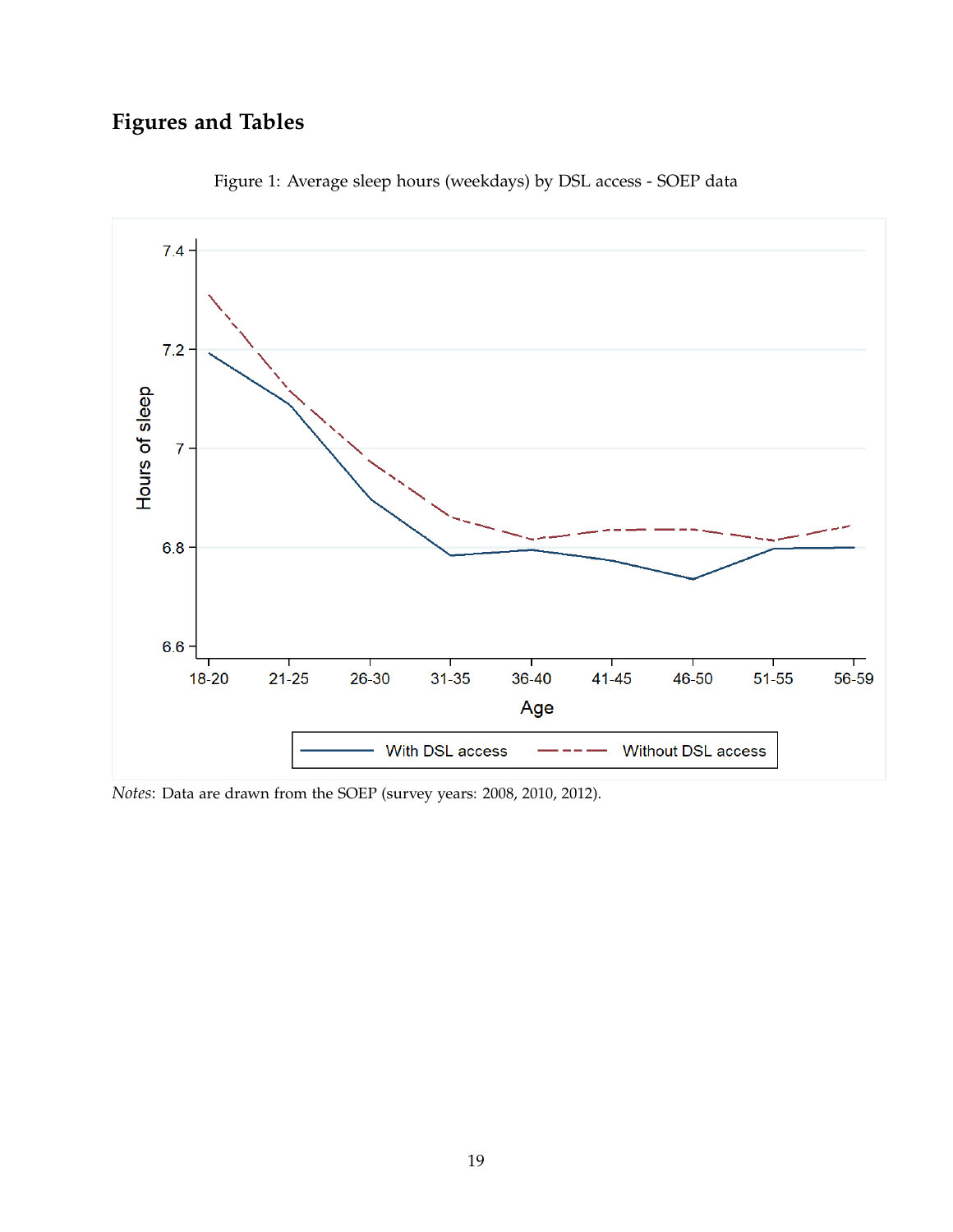# **Figures and Tables**

<span id="page-18-0"></span>

Figure 1: Average sleep hours (weekdays) by DSL access - SOEP data

*Notes*: Data are drawn from the SOEP (survey years: 2008, 2010, 2012).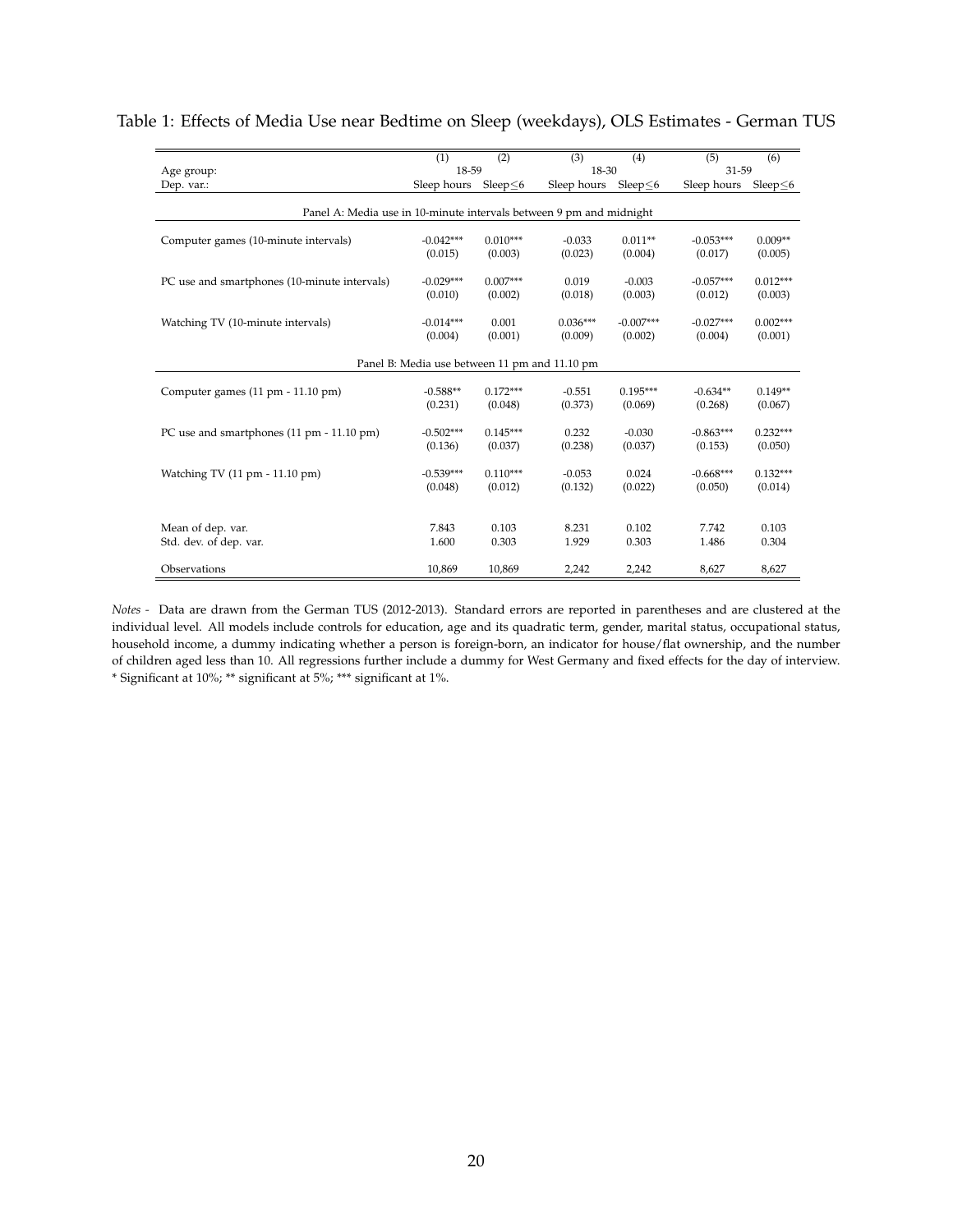|                                                                     | (1)                    | $\overline{(2)}$      | (3)                   | (4)                    | (5)                    | (6)                   |  |  |  |
|---------------------------------------------------------------------|------------------------|-----------------------|-----------------------|------------------------|------------------------|-----------------------|--|--|--|
| Age group:                                                          | 18-59                  |                       | 18-30                 |                        | 31-59                  |                       |  |  |  |
| Dep. var.:                                                          | Sleep hours            | Sleep $\leq 6$        | Sleep hours           | Sleep $\leq 6$         | Sleep hours            | Sleep $\leq$ 6        |  |  |  |
| Panel A: Media use in 10-minute intervals between 9 pm and midnight |                        |                       |                       |                        |                        |                       |  |  |  |
| Computer games (10-minute intervals)                                | $-0.042***$<br>(0.015) | $0.010***$<br>(0.003) | $-0.033$<br>(0.023)   | $0.011**$<br>(0.004)   | $-0.053***$<br>(0.017) | $0.009**$<br>(0.005)  |  |  |  |
| PC use and smartphones (10-minute intervals)                        | $-0.029***$            | $0.007***$            | 0.019                 | $-0.003$               | $-0.057***$            | $0.012***$            |  |  |  |
|                                                                     | (0.010)                | (0.002)               | (0.018)               | (0.003)                | (0.012)                | (0.003)               |  |  |  |
| Watching TV (10-minute intervals)                                   | $-0.014***$<br>(0.004) | 0.001<br>(0.001)      | $0.036***$<br>(0.009) | $-0.007***$<br>(0.002) | $-0.027***$<br>(0.004) | $0.002***$<br>(0.001) |  |  |  |
| Panel B: Media use between 11 pm and 11.10 pm                       |                        |                       |                       |                        |                        |                       |  |  |  |
| Computer games (11 pm - 11.10 pm)                                   | $-0.588**$<br>(0.231)  | $0.172***$<br>(0.048) | $-0.551$<br>(0.373)   | $0.195***$<br>(0.069)  | $-0.634**$<br>(0.268)  | $0.149**$<br>(0.067)  |  |  |  |
| PC use and smartphones (11 pm - 11.10 pm)                           | $-0.502***$<br>(0.136) | $0.145***$<br>(0.037) | 0.232<br>(0.238)      | $-0.030$<br>(0.037)    | $-0.863***$<br>(0.153) | $0.232***$<br>(0.050) |  |  |  |
| Watching TV (11 pm - 11.10 pm)                                      | $-0.539***$<br>(0.048) | $0.110***$<br>(0.012) | $-0.053$<br>(0.132)   | 0.024<br>(0.022)       | $-0.668***$<br>(0.050) | $0.132***$<br>(0.014) |  |  |  |
| Mean of dep. var.<br>Std. dev. of dep. var.                         | 7.843<br>1.600         | 0.103<br>0.303        | 8.231<br>1.929        | 0.102<br>0.303         | 7.742<br>1.486         | 0.103<br>0.304        |  |  |  |
| Observations                                                        | 10,869                 | 10,869                | 2,242                 | 2,242                  | 8,627                  | 8,627                 |  |  |  |

#### <span id="page-19-0"></span>Table 1: Effects of Media Use near Bedtime on Sleep (weekdays), OLS Estimates - German TUS

*Notes -* Data are drawn from the German TUS (2012-2013). Standard errors are reported in parentheses and are clustered at the individual level. All models include controls for education, age and its quadratic term, gender, marital status, occupational status, household income, a dummy indicating whether a person is foreign-born, an indicator for house/flat ownership, and the number of children aged less than 10. All regressions further include a dummy for West Germany and fixed effects for the day of interview. \* Significant at 10%; \*\* significant at 5%; \*\*\* significant at 1%.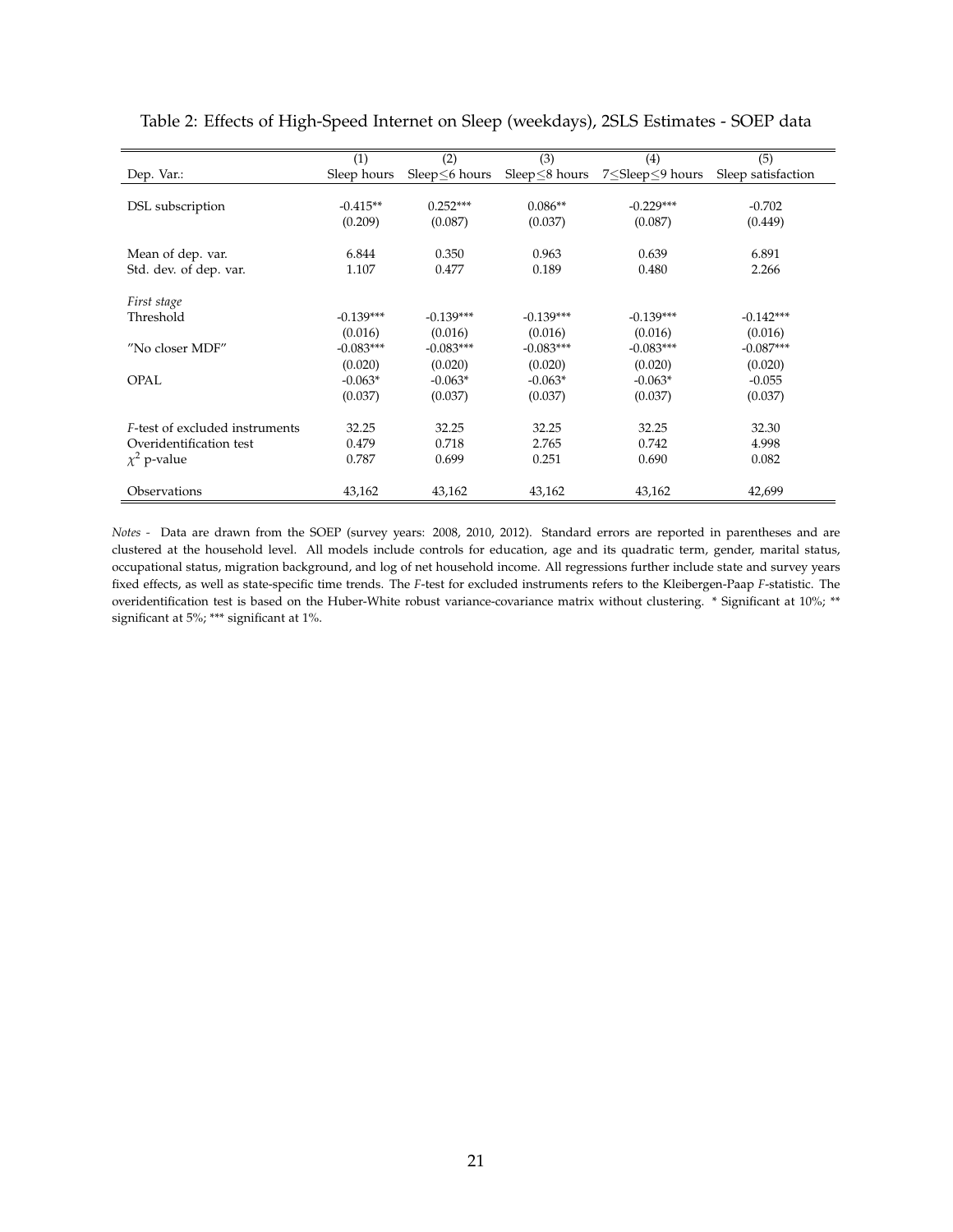|                                        | (1)         | (2)           | (3)            | (4)                                                              | (5)                |
|----------------------------------------|-------------|---------------|----------------|------------------------------------------------------------------|--------------------|
| Dep. Var.:                             | Sleep hours | Sleep<6 hours | Sleep <8 hours | 7 <sleep<9 hours<="" td=""><td>Sleep satisfaction</td></sleep<9> | Sleep satisfaction |
|                                        |             |               |                |                                                                  |                    |
| DSL subscription                       | $-0.415**$  | $0.252***$    | $0.086**$      | $-0.229***$                                                      | $-0.702$           |
|                                        | (0.209)     | (0.087)       | (0.037)        | (0.087)                                                          | (0.449)            |
|                                        |             |               |                |                                                                  |                    |
| Mean of dep. var.                      | 6.844       | 0.350         | 0.963          | 0.639                                                            | 6.891              |
| Std. dev. of dep. var.                 | 1.107       | 0.477         | 0.189          | 0.480                                                            | 2.266              |
|                                        |             |               |                |                                                                  |                    |
| First stage                            |             |               |                |                                                                  |                    |
| Threshold                              | $-0.139***$ | $-0.139***$   | $-0.139***$    | $-0.139***$                                                      | $-0.142***$        |
|                                        | (0.016)     | (0.016)       | (0.016)        | (0.016)                                                          | (0.016)            |
| "No closer MDF"                        | $-0.083***$ | $-0.083***$   | $-0.083***$    | $-0.083***$                                                      | $-0.087***$        |
|                                        | (0.020)     | (0.020)       | (0.020)        | (0.020)                                                          | (0.020)            |
| <b>OPAL</b>                            | $-0.063*$   | $-0.063*$     | $-0.063*$      | $-0.063*$                                                        | $-0.055$           |
|                                        | (0.037)     | (0.037)       | (0.037)        | (0.037)                                                          | (0.037)            |
|                                        |             |               |                |                                                                  |                    |
| <i>F</i> -test of excluded instruments | 32.25       | 32.25         | 32.25          | 32.25                                                            | 32.30              |
| Overidentification test                | 0.479       | 0.718         | 2.765          | 0.742                                                            | 4.998              |
| $\chi^2$ p-value                       | 0.787       | 0.699         | 0.251          | 0.690                                                            | 0.082              |
|                                        |             |               |                |                                                                  |                    |
| Observations                           | 43,162      | 43,162        | 43,162         | 43,162                                                           | 42,699             |

### <span id="page-20-0"></span>Table 2: Effects of High-Speed Internet on Sleep (weekdays), 2SLS Estimates - SOEP data

*Notes -* Data are drawn from the SOEP (survey years: 2008, 2010, 2012). Standard errors are reported in parentheses and are clustered at the household level. All models include controls for education, age and its quadratic term, gender, marital status, occupational status, migration background, and log of net household income. All regressions further include state and survey years fixed effects, as well as state-specific time trends. The *F*-test for excluded instruments refers to the Kleibergen-Paap *F*-statistic. The overidentification test is based on the Huber-White robust variance-covariance matrix without clustering. \* Significant at 10%; \*\* significant at 5%; \*\*\* significant at 1%.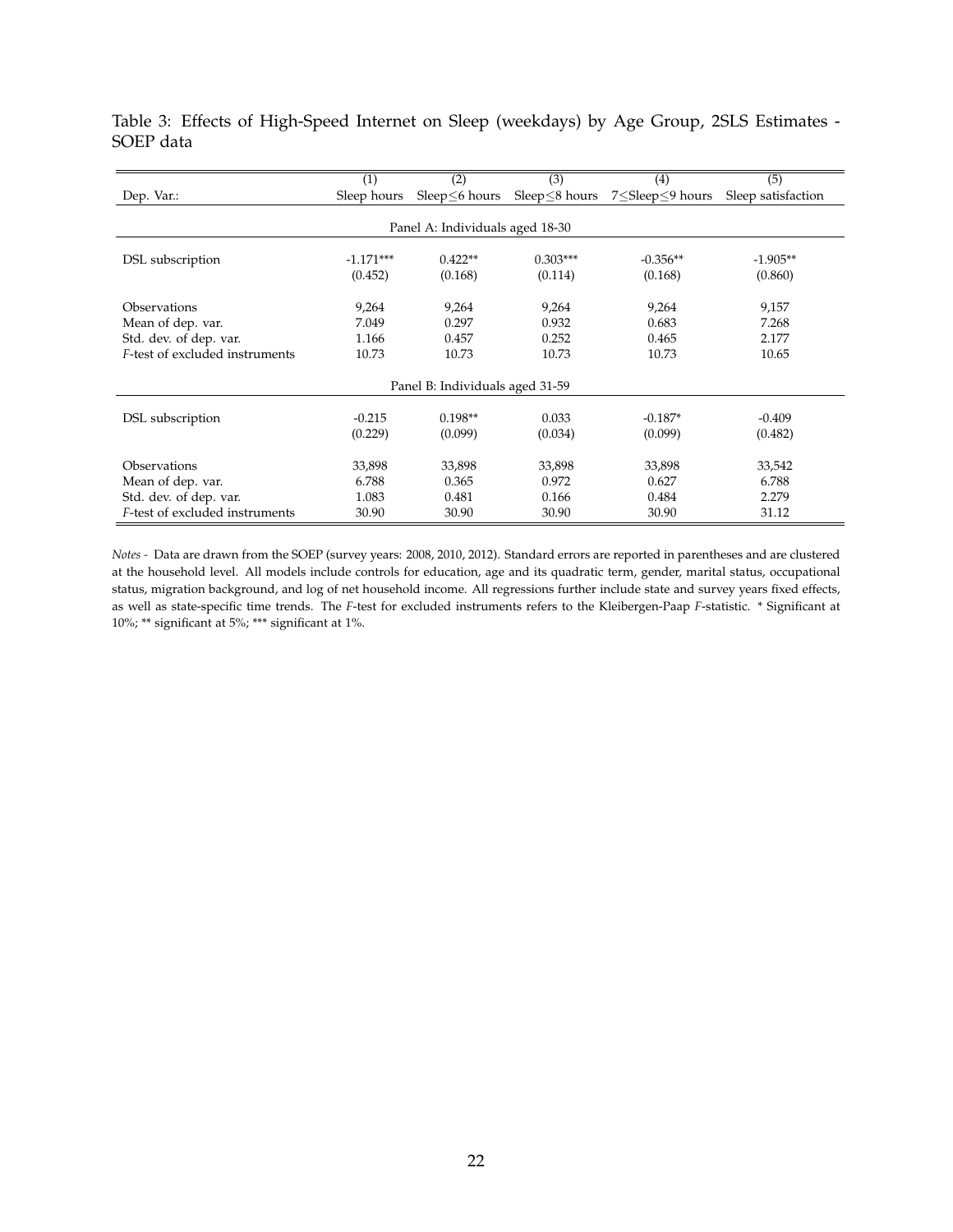|                                 | (1)         | (2)            | (3)                  | (4)             | (5)                |  |  |  |  |
|---------------------------------|-------------|----------------|----------------------|-----------------|--------------------|--|--|--|--|
| Dep. Var.:                      | Sleep hours | Sleep <6 hours | Sleep $\leq$ 8 hours | 7≤Sleep≤9 hours | Sleep satisfaction |  |  |  |  |
|                                 |             |                |                      |                 |                    |  |  |  |  |
| Panel A: Individuals aged 18-30 |             |                |                      |                 |                    |  |  |  |  |
|                                 |             |                |                      |                 |                    |  |  |  |  |
| DSL subscription                | $-1.171***$ | $0.422**$      | $0.303***$           | $-0.356**$      | $-1.905**$         |  |  |  |  |
|                                 | (0.452)     | (0.168)        | (0.114)              | (0.168)         | (0.860)            |  |  |  |  |
|                                 |             |                |                      |                 |                    |  |  |  |  |
| Observations                    | 9,264       | 9,264          | 9,264                | 9,264           | 9,157              |  |  |  |  |
| Mean of dep. var.               | 7.049       | 0.297          | 0.932                | 0.683           | 7.268              |  |  |  |  |
| Std. dev. of dep. var.          | 1.166       | 0.457          | 0.252                | 0.465           | 2.177              |  |  |  |  |
| F-test of excluded instruments  | 10.73       | 10.73          | 10.73                | 10.73           | 10.65              |  |  |  |  |
|                                 |             |                |                      |                 |                    |  |  |  |  |
| Panel B: Individuals aged 31-59 |             |                |                      |                 |                    |  |  |  |  |
|                                 |             |                |                      |                 |                    |  |  |  |  |
| DSL subscription                | $-0.215$    | $0.198**$      | 0.033                | $-0.187*$       | $-0.409$           |  |  |  |  |
|                                 | (0.229)     | (0.099)        | (0.034)              | (0.099)         | (0.482)            |  |  |  |  |
|                                 |             |                |                      |                 |                    |  |  |  |  |
| Observations                    | 33,898      | 33,898         | 33,898               | 33,898          | 33,542             |  |  |  |  |
| Mean of dep. var.               | 6.788       | 0.365          | 0.972                | 0.627           | 6.788              |  |  |  |  |
| Std. dev. of dep. var.          | 1.083       | 0.481          | 0.166                | 0.484           | 2.279              |  |  |  |  |
| F-test of excluded instruments  | 30.90       | 30.90          | 30.90                | 30.90           | 31.12              |  |  |  |  |

<span id="page-21-0"></span>Table 3: Effects of High-Speed Internet on Sleep (weekdays) by Age Group, 2SLS Estimates - SOEP data

*Notes -* Data are drawn from the SOEP (survey years: 2008, 2010, 2012). Standard errors are reported in parentheses and are clustered at the household level. All models include controls for education, age and its quadratic term, gender, marital status, occupational status, migration background, and log of net household income. All regressions further include state and survey years fixed effects, as well as state-specific time trends. The *F*-test for excluded instruments refers to the Kleibergen-Paap *F*-statistic. \* Significant at 10%; \*\* significant at 5%; \*\*\* significant at 1%.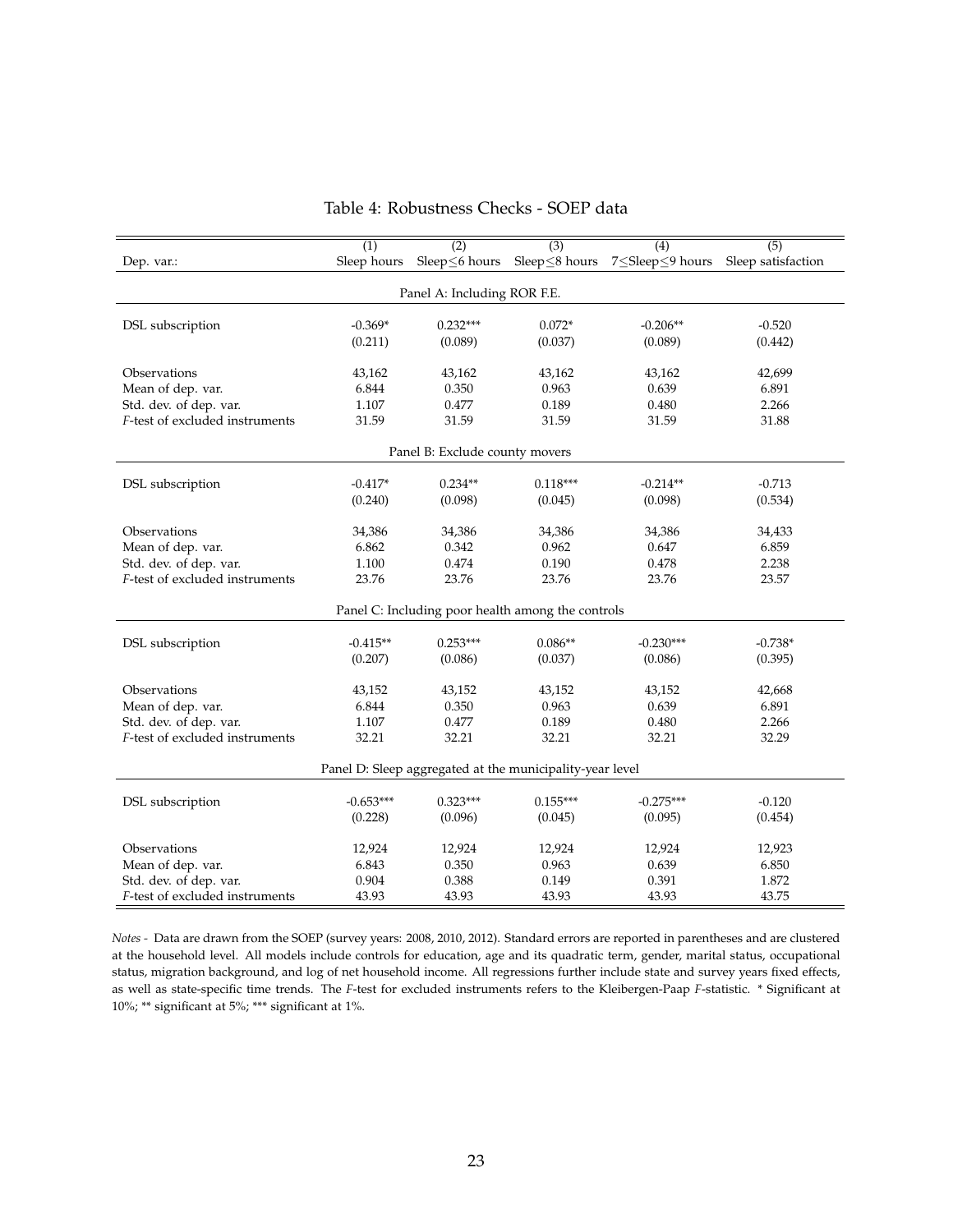<span id="page-22-0"></span>

|                                                   | (1)         | (2)                                                      | (3)        | (4)                                              | (5)       |  |  |  |  |
|---------------------------------------------------|-------------|----------------------------------------------------------|------------|--------------------------------------------------|-----------|--|--|--|--|
| Dep. var.:                                        | Sleep hours | Sleep≤6 hours                                            |            | Sleep≤8 hours 7≤Sleep≤9 hours Sleep satisfaction |           |  |  |  |  |
|                                                   |             |                                                          |            |                                                  |           |  |  |  |  |
|                                                   |             | Panel A: Including ROR F.E.                              |            |                                                  |           |  |  |  |  |
|                                                   |             |                                                          |            |                                                  |           |  |  |  |  |
| DSL subscription                                  | $-0.369*$   | $0.232***$                                               | $0.072*$   | $-0.206**$                                       | $-0.520$  |  |  |  |  |
|                                                   | (0.211)     | (0.089)                                                  | (0.037)    | (0.089)                                          | (0.442)   |  |  |  |  |
| Observations                                      | 43,162      | 43,162                                                   | 43,162     | 43,162                                           | 42,699    |  |  |  |  |
| Mean of dep. var.                                 | 6.844       | 0.350                                                    | 0.963      | 0.639                                            | 6.891     |  |  |  |  |
| Std. dev. of dep. var.                            | 1.107       | 0.477                                                    | 0.189      | 0.480                                            | 2.266     |  |  |  |  |
| F-test of excluded instruments                    | 31.59       | 31.59                                                    | 31.59      | 31.59                                            | 31.88     |  |  |  |  |
|                                                   |             |                                                          |            |                                                  |           |  |  |  |  |
| Panel B: Exclude county movers                    |             |                                                          |            |                                                  |           |  |  |  |  |
|                                                   | $-0.417*$   | $0.234**$                                                | $0.118***$ | $-0.214**$                                       | $-0.713$  |  |  |  |  |
| DSL subscription                                  | (0.240)     | (0.098)                                                  | (0.045)    | (0.098)                                          | (0.534)   |  |  |  |  |
|                                                   |             |                                                          |            |                                                  |           |  |  |  |  |
| Observations                                      | 34,386      | 34,386                                                   | 34,386     | 34,386                                           | 34,433    |  |  |  |  |
| Mean of dep. var.                                 | 6.862       | 0.342                                                    | 0.962      | 0.647                                            | 6.859     |  |  |  |  |
| Std. dev. of dep. var.                            | 1.100       | 0.474                                                    | 0.190      | 0.478                                            | 2.238     |  |  |  |  |
| F-test of excluded instruments                    | 23.76       | 23.76                                                    | 23.76      | 23.76                                            | 23.57     |  |  |  |  |
|                                                   |             |                                                          |            |                                                  |           |  |  |  |  |
| Panel C: Including poor health among the controls |             |                                                          |            |                                                  |           |  |  |  |  |
| DSL subscription                                  | $-0.415**$  | $0.253***$                                               | $0.086**$  | $-0.230***$                                      | $-0.738*$ |  |  |  |  |
|                                                   | (0.207)     | (0.086)                                                  | (0.037)    | (0.086)                                          | (0.395)   |  |  |  |  |
|                                                   |             |                                                          |            |                                                  |           |  |  |  |  |
| Observations                                      | 43,152      | 43,152                                                   | 43,152     | 43,152                                           | 42,668    |  |  |  |  |
| Mean of dep. var.                                 | 6.844       | 0.350                                                    | 0.963      | 0.639                                            | 6.891     |  |  |  |  |
| Std. dev. of dep. var.                            | 1.107       | 0.477                                                    | 0.189      | 0.480                                            | 2.266     |  |  |  |  |
| F-test of excluded instruments                    | 32.21       | 32.21                                                    | 32.21      | 32.21                                            | 32.29     |  |  |  |  |
|                                                   |             |                                                          |            |                                                  |           |  |  |  |  |
|                                                   |             | Panel D: Sleep aggregated at the municipality-year level |            |                                                  |           |  |  |  |  |
| DSL subscription                                  | $-0.653***$ | $0.323***$                                               | $0.155***$ | $-0.275***$                                      | $-0.120$  |  |  |  |  |
|                                                   | (0.228)     | (0.096)                                                  | (0.045)    | (0.095)                                          | (0.454)   |  |  |  |  |
|                                                   |             |                                                          |            |                                                  |           |  |  |  |  |
| Observations                                      | 12,924      | 12,924                                                   | 12,924     | 12,924                                           | 12,923    |  |  |  |  |
| Mean of dep. var.                                 | 6.843       | 0.350                                                    | 0.963      | 0.639                                            | 6.850     |  |  |  |  |
| Std. dev. of dep. var.                            | 0.904       | 0.388                                                    | 0.149      | 0.391                                            | 1.872     |  |  |  |  |
| F-test of excluded instruments                    | 43.93       | 43.93                                                    | 43.93      | 43.93                                            | 43.75     |  |  |  |  |

### Table 4: Robustness Checks - SOEP data

*Notes -* Data are drawn from the SOEP (survey years: 2008, 2010, 2012). Standard errors are reported in parentheses and are clustered at the household level. All models include controls for education, age and its quadratic term, gender, marital status, occupational status, migration background, and log of net household income. All regressions further include state and survey years fixed effects, as well as state-specific time trends. The *F*-test for excluded instruments refers to the Kleibergen-Paap *F*-statistic. \* Significant at 10%; \*\* significant at 5%; \*\*\* significant at 1%.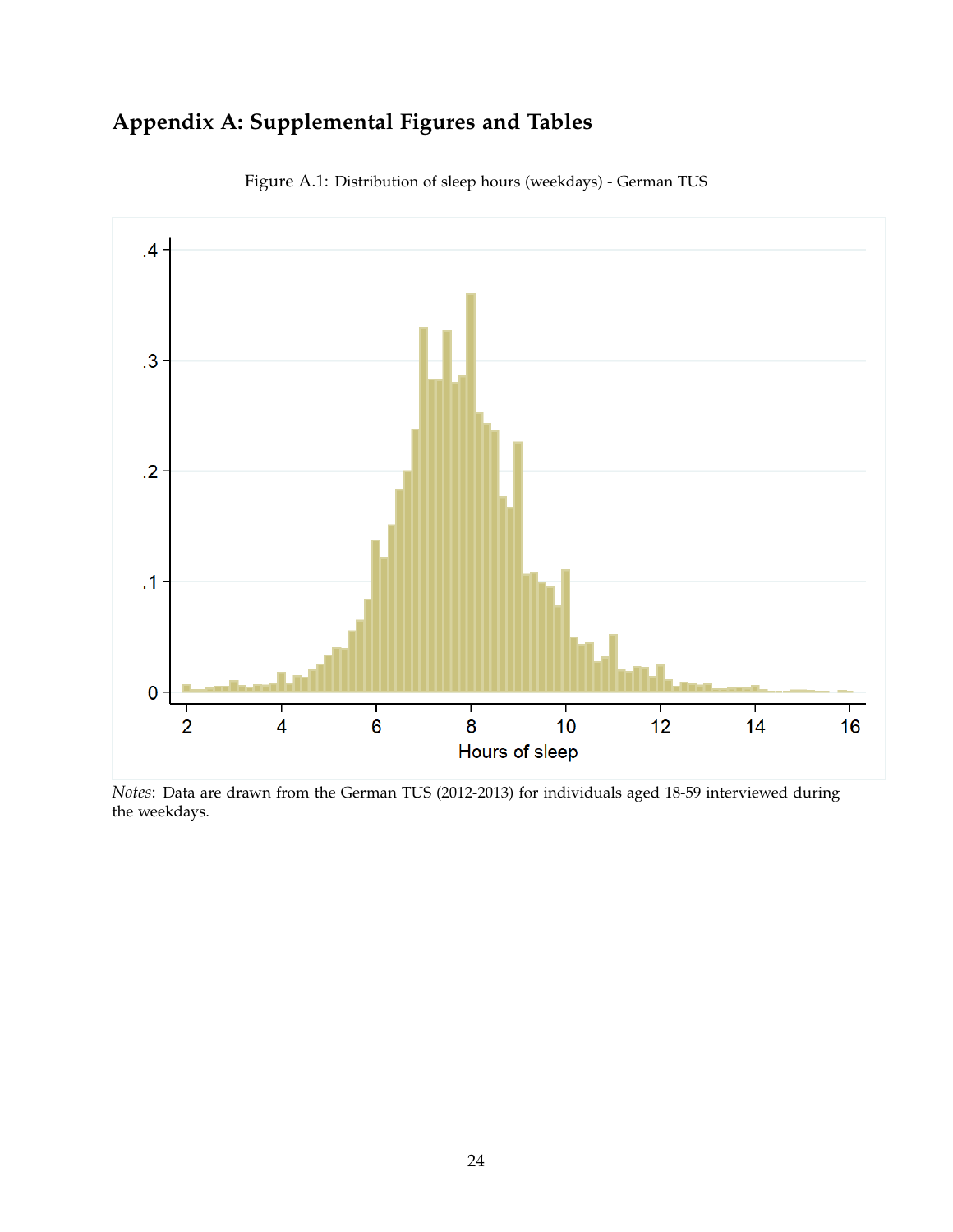# **Appendix A: Supplemental Figures and Tables**

<span id="page-23-0"></span>

Figure A.1: Distribution of sleep hours (weekdays) - German TUS

*Notes*: Data are drawn from the German TUS (2012-2013) for individuals aged 18-59 interviewed during the weekdays.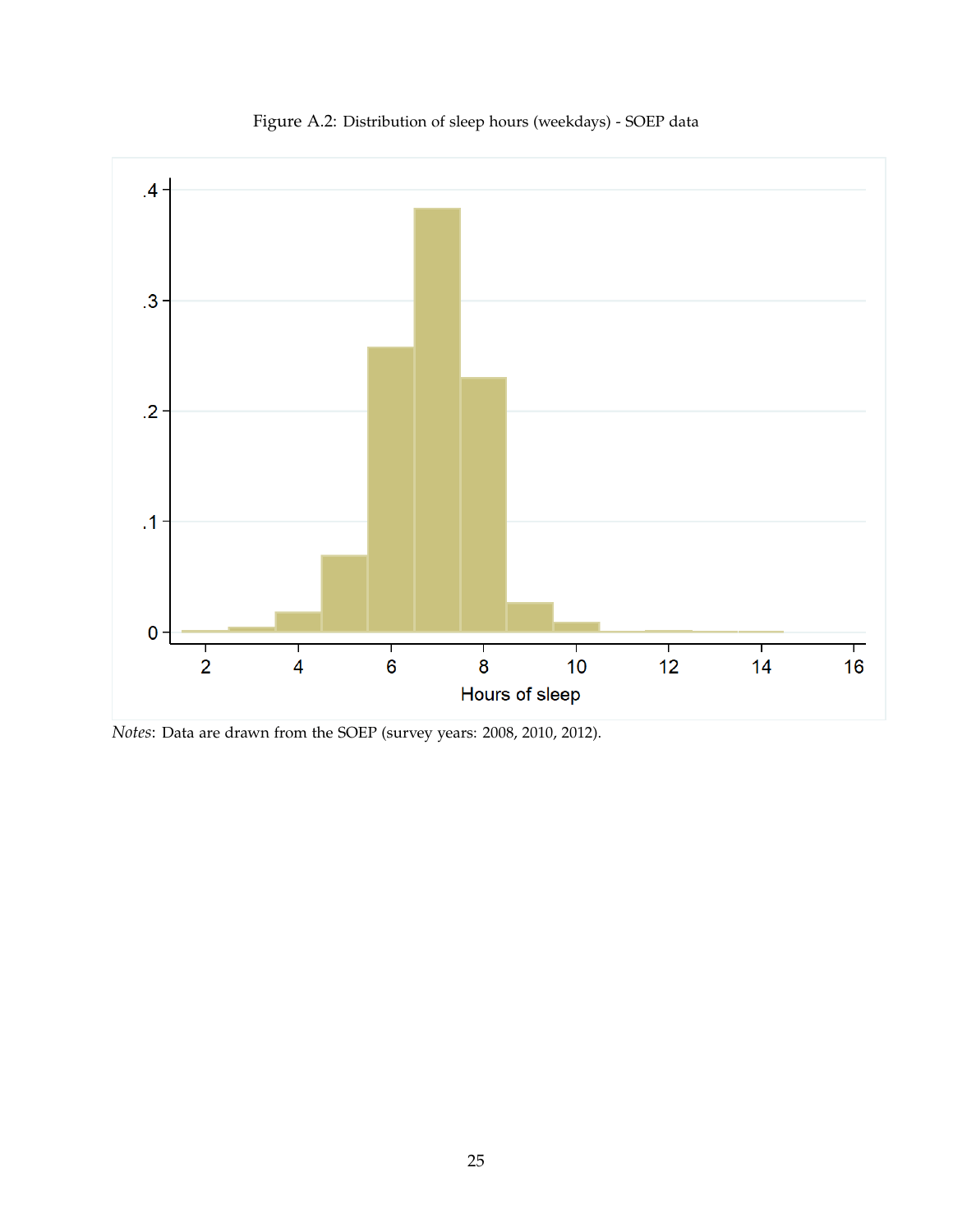<span id="page-24-0"></span>

Figure A.2: Distribution of sleep hours (weekdays) - SOEP data

*Notes*: Data are drawn from the SOEP (survey years: 2008, 2010, 2012).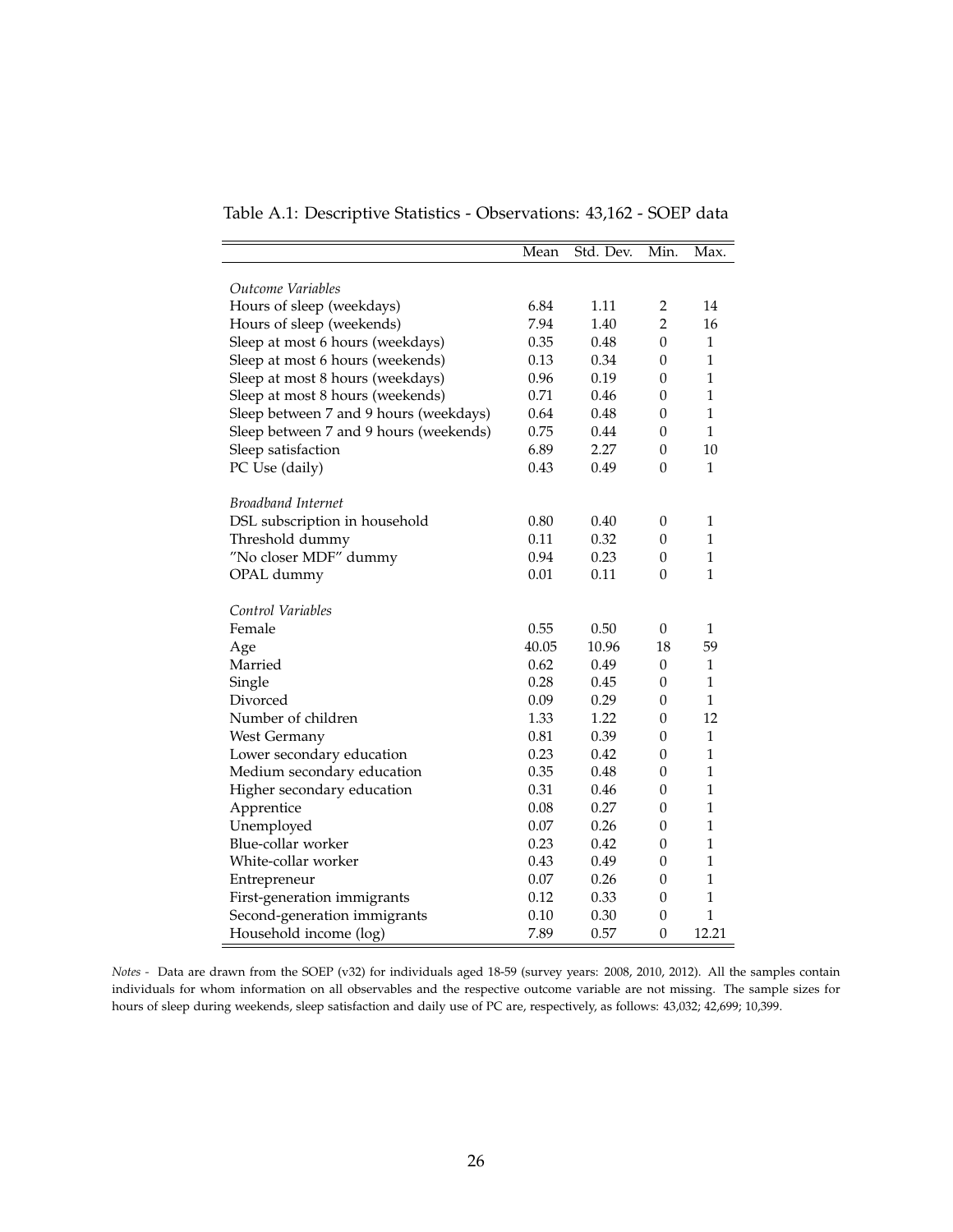<span id="page-25-0"></span>

| Table A.1: Descriptive Statistics - Observations: 43,162 - SOEP data |
|----------------------------------------------------------------------|
|----------------------------------------------------------------------|

|                                        | Mean  | Std. Dev. | Min.             | Max.         |
|----------------------------------------|-------|-----------|------------------|--------------|
|                                        |       |           |                  |              |
| Outcome Variables                      |       |           |                  |              |
| Hours of sleep (weekdays)              | 6.84  | 1.11      | $\overline{2}$   | 14           |
| Hours of sleep (weekends)              | 7.94  | 1.40      | $\overline{2}$   | 16           |
| Sleep at most 6 hours (weekdays)       | 0.35  | 0.48      | $\theta$         | 1            |
| Sleep at most 6 hours (weekends)       | 0.13  | 0.34      | $\boldsymbol{0}$ | $\mathbf{1}$ |
| Sleep at most 8 hours (weekdays)       | 0.96  | 0.19      | 0                | $\mathbf{1}$ |
| Sleep at most 8 hours (weekends)       | 0.71  | 0.46      | 0                | $\mathbf{1}$ |
| Sleep between 7 and 9 hours (weekdays) | 0.64  | 0.48      | $\boldsymbol{0}$ | $\mathbf{1}$ |
| Sleep between 7 and 9 hours (weekends) | 0.75  | 0.44      | $\boldsymbol{0}$ | 1            |
| Sleep satisfaction                     | 6.89  | 2.27      | $\boldsymbol{0}$ | 10           |
| PC Use (daily)                         | 0.43  | 0.49      | $\mathbf{0}$     | 1            |
| Broadband Internet                     |       |           |                  |              |
| DSL subscription in household          | 0.80  | 0.40      | 0                | 1            |
| Threshold dummy                        | 0.11  | 0.32      | $\boldsymbol{0}$ | 1            |
| "No closer MDF" dummy                  | 0.94  | 0.23      | $\boldsymbol{0}$ | $\mathbf{1}$ |
| OPAL dummy                             | 0.01  | 0.11      | 0                | 1            |
|                                        |       |           |                  |              |
| Control Variables                      |       |           |                  |              |
| Female                                 | 0.55  | 0.50      | $\mathbf{0}$     | 1            |
| Age                                    | 40.05 | 10.96     | 18               | 59           |
| Married                                | 0.62  | 0.49      | $\boldsymbol{0}$ | 1            |
| Single                                 | 0.28  | 0.45      | 0                | $\mathbf{1}$ |
| Divorced                               | 0.09  | 0.29      | $\theta$         | $\mathbf{1}$ |
| Number of children                     | 1.33  | 1.22      | 0                | 12           |
| West Germany                           | 0.81  | 0.39      | 0                | $\mathbf{1}$ |
| Lower secondary education              | 0.23  | 0.42      | 0                | 1            |
| Medium secondary education             | 0.35  | 0.48      | $\boldsymbol{0}$ | $\mathbf{1}$ |
| Higher secondary education             | 0.31  | 0.46      | 0                | 1            |
| Apprentice                             | 0.08  | 0.27      | 0                | $\mathbf{1}$ |
| Unemployed                             | 0.07  | 0.26      | $\boldsymbol{0}$ | $\mathbf{1}$ |
| Blue-collar worker                     | 0.23  | 0.42      | 0                | $\mathbf{1}$ |
| White-collar worker                    | 0.43  | 0.49      | 0                | $\mathbf{1}$ |
| Entrepreneur                           | 0.07  | 0.26      | 0                | $\mathbf{1}$ |
| First-generation immigrants            | 0.12  | 0.33      | $\boldsymbol{0}$ | 1            |
| Second-generation immigrants           | 0.10  | 0.30      | $\boldsymbol{0}$ | $\mathbf{1}$ |
| Household income (log)                 | 7.89  | 0.57      | 0                | 12.21        |

*Notes -* Data are drawn from the SOEP (v32) for individuals aged 18-59 (survey years: 2008, 2010, 2012). All the samples contain individuals for whom information on all observables and the respective outcome variable are not missing. The sample sizes for hours of sleep during weekends, sleep satisfaction and daily use of PC are, respectively, as follows: 43,032; 42,699; 10,399.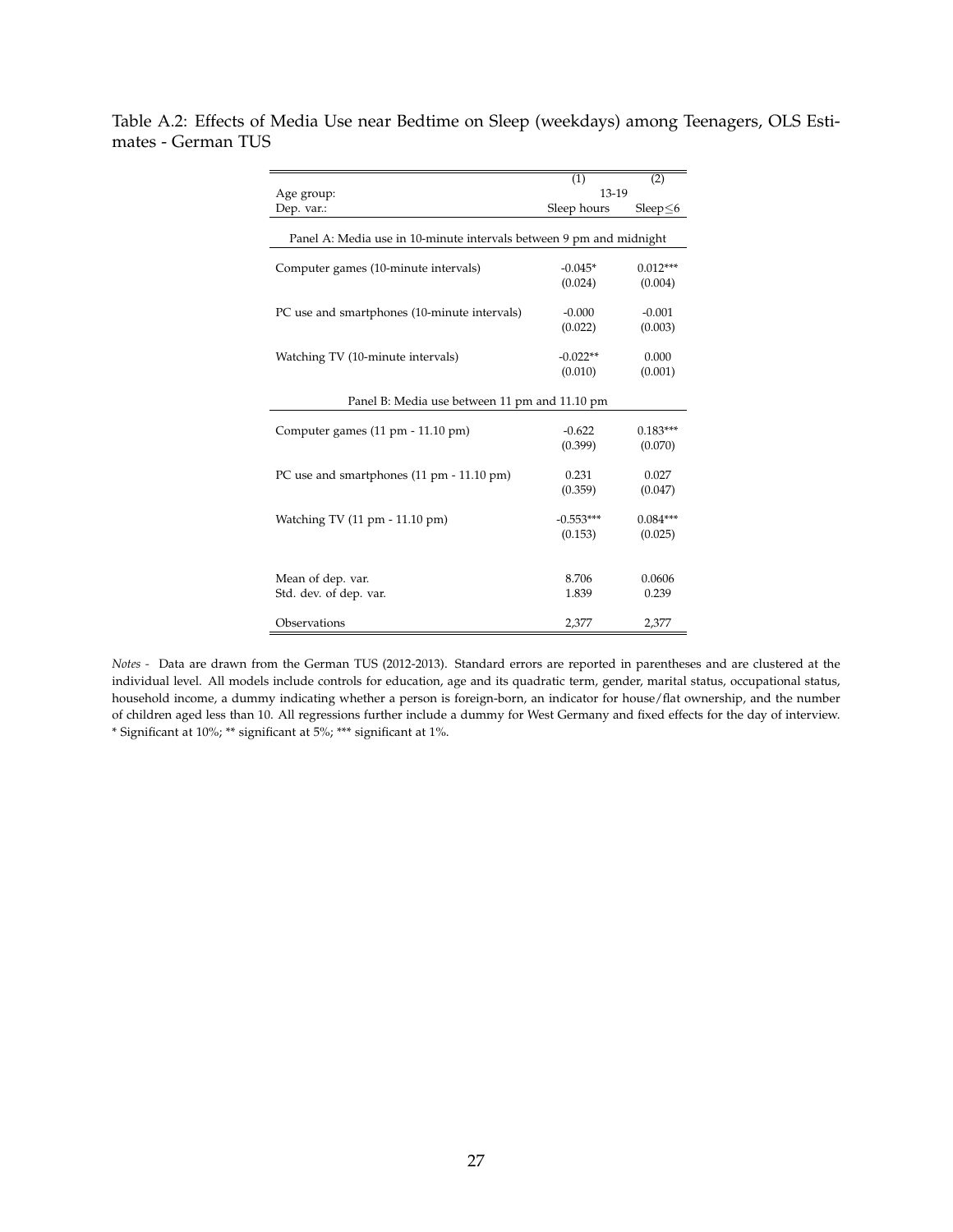<span id="page-26-0"></span>Table A.2: Effects of Media Use near Bedtime on Sleep (weekdays) among Teenagers, OLS Estimates - German TUS

|                                                                     | (1)         | (2)        |
|---------------------------------------------------------------------|-------------|------------|
| Age group:                                                          | 13-19       |            |
| Dep. var.:                                                          | Sleep hours | Sleep<6    |
|                                                                     |             |            |
| Panel A: Media use in 10-minute intervals between 9 pm and midnight |             |            |
|                                                                     |             |            |
| Computer games (10-minute intervals)                                | $-0.045*$   | $0.012***$ |
|                                                                     | (0.024)     | (0.004)    |
|                                                                     |             |            |
| PC use and smartphones (10-minute intervals)                        | $-0.000$    | $-0.001$   |
|                                                                     | (0.022)     | (0.003)    |
|                                                                     |             | 0.000      |
| Watching TV (10-minute intervals)                                   | $-0.022**$  |            |
|                                                                     | (0.010)     | (0.001)    |
| Panel B: Media use between 11 pm and 11.10 pm                       |             |            |
|                                                                     |             |            |
| Computer games (11 pm - 11.10 pm)                                   | $-0.622$    | $0.183***$ |
|                                                                     | (0.399)     | (0.070)    |
|                                                                     |             |            |
| PC use and smartphones (11 pm - 11.10 pm)                           | 0.231       | 0.027      |
|                                                                     | (0.359)     | (0.047)    |
|                                                                     |             |            |
| Watching TV (11 pm - 11.10 pm)                                      | $-0.553***$ | $0.084***$ |
|                                                                     | (0.153)     | (0.025)    |
|                                                                     |             |            |
| Mean of dep. var.                                                   | 8.706       | 0.0606     |
| Std. dev. of dep. var.                                              | 1.839       | 0.239      |
|                                                                     |             |            |
| Observations                                                        | 2,377       | 2,377      |

*Notes -* Data are drawn from the German TUS (2012-2013). Standard errors are reported in parentheses and are clustered at the individual level. All models include controls for education, age and its quadratic term, gender, marital status, occupational status, household income, a dummy indicating whether a person is foreign-born, an indicator for house/flat ownership, and the number of children aged less than 10. All regressions further include a dummy for West Germany and fixed effects for the day of interview. \* Significant at 10%; \*\* significant at 5%; \*\*\* significant at 1%.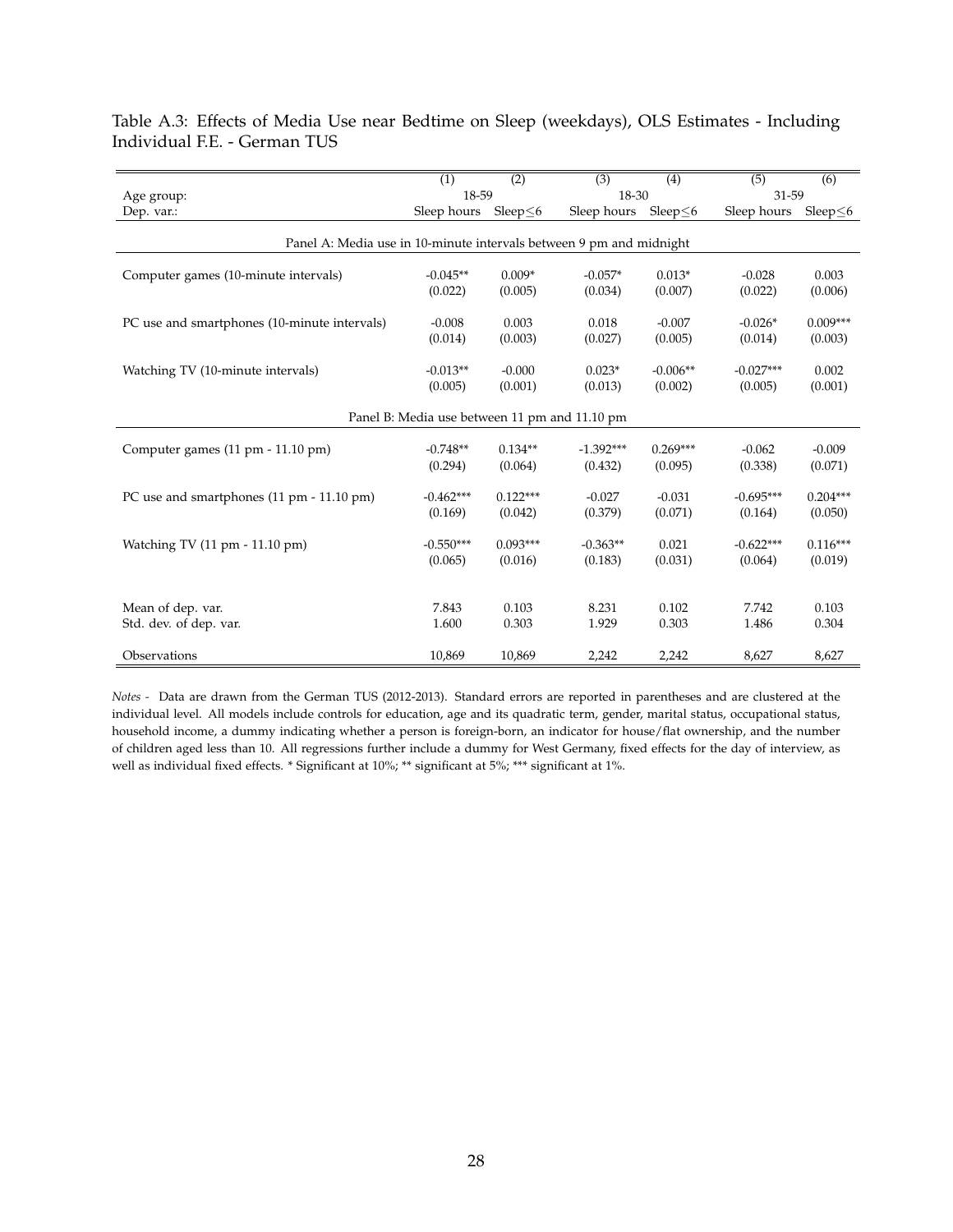|                                                                     | $\overline{(1)}$ | $\overline{(2)}$ | $\overline{(3)}$ | $\overline{(4)}$ | $\overline{(5)}$ | $\overline{(6)}$ |  |  |
|---------------------------------------------------------------------|------------------|------------------|------------------|------------------|------------------|------------------|--|--|
| Age group:                                                          | 18-59            |                  | 18-30            |                  | 31-59            |                  |  |  |
| Dep. var.:                                                          | Sleep hours      | Sleep<6          | Sleep hours      | Sleep<6          | Sleep hours      | Sleep<6          |  |  |
| Panel A: Media use in 10-minute intervals between 9 pm and midnight |                  |                  |                  |                  |                  |                  |  |  |
| Computer games (10-minute intervals)                                | $-0.045**$       | $0.009*$         | $-0.057*$        | $0.013*$         | $-0.028$         | 0.003            |  |  |
|                                                                     | (0.022)          | (0.005)          | (0.034)          | (0.007)          | (0.022)          | (0.006)          |  |  |
| PC use and smartphones (10-minute intervals)                        | $-0.008$         | 0.003            | 0.018            | $-0.007$         | $-0.026*$        | $0.009***$       |  |  |
|                                                                     | (0.014)          | (0.003)          | (0.027)          | (0.005)          | (0.014)          | (0.003)          |  |  |
| Watching TV (10-minute intervals)                                   | $-0.013**$       | $-0.000$         | $0.023*$         | $-0.006**$       | $-0.027***$      | 0.002            |  |  |
|                                                                     | (0.005)          | (0.001)          | (0.013)          | (0.002)          | (0.005)          | (0.001)          |  |  |
| Panel B: Media use between 11 pm and 11.10 pm                       |                  |                  |                  |                  |                  |                  |  |  |
| Computer games (11 pm - 11.10 pm)                                   | $-0.748**$       | $0.134**$        | $-1.392***$      | $0.269***$       | $-0.062$         | $-0.009$         |  |  |
|                                                                     | (0.294)          | (0.064)          | (0.432)          | (0.095)          | (0.338)          | (0.071)          |  |  |
| PC use and smartphones (11 pm - 11.10 pm)                           | $-0.462***$      | $0.122***$       | $-0.027$         | $-0.031$         | $-0.695***$      | $0.204***$       |  |  |
|                                                                     | (0.169)          | (0.042)          | (0.379)          | (0.071)          | (0.164)          | (0.050)          |  |  |
| Watching TV (11 pm - 11.10 pm)                                      | $-0.550***$      | $0.093***$       | $-0.363**$       | 0.021            | $-0.622***$      | $0.116***$       |  |  |
|                                                                     | (0.065)          | (0.016)          | (0.183)          | (0.031)          | (0.064)          | (0.019)          |  |  |
| Mean of dep. var.                                                   | 7.843            | 0.103            | 8.231            | 0.102            | 7.742            | 0.103            |  |  |
| Std. dev. of dep. var.                                              | 1.600            | 0.303            | 1.929            | 0.303            | 1.486            | 0.304            |  |  |
| Observations                                                        | 10,869           | 10,869           | 2,242            | 2,242            | 8,627            | 8,627            |  |  |

<span id="page-27-0"></span>Table A.3: Effects of Media Use near Bedtime on Sleep (weekdays), OLS Estimates - Including Individual F.E. - German TUS

*Notes -* Data are drawn from the German TUS (2012-2013). Standard errors are reported in parentheses and are clustered at the individual level. All models include controls for education, age and its quadratic term, gender, marital status, occupational status, household income, a dummy indicating whether a person is foreign-born, an indicator for house/flat ownership, and the number of children aged less than 10. All regressions further include a dummy for West Germany, fixed effects for the day of interview, as well as individual fixed effects. \* Significant at 10%; \*\* significant at 5%; \*\*\* significant at 1%.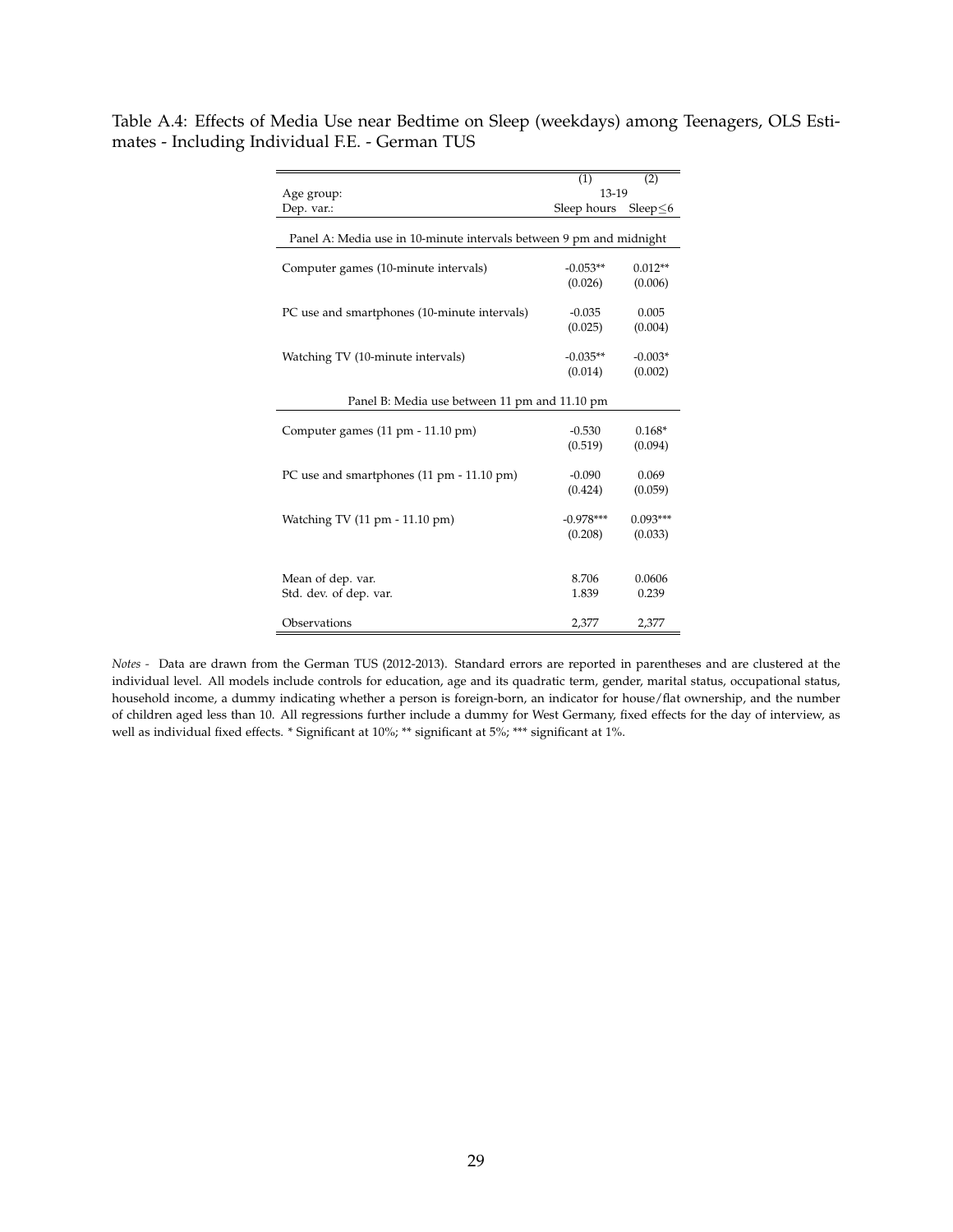<span id="page-28-0"></span>Table A.4: Effects of Media Use near Bedtime on Sleep (weekdays) among Teenagers, OLS Estimates - Including Individual F.E. - German TUS

|                                                                     | (1)                    | (2)                   |  |  |  |  |
|---------------------------------------------------------------------|------------------------|-----------------------|--|--|--|--|
| Age group:                                                          | 13-19                  |                       |  |  |  |  |
| Dep. var.:                                                          | Sleep hours            | Sleep $\leq 6$        |  |  |  |  |
| Panel A: Media use in 10-minute intervals between 9 pm and midnight |                        |                       |  |  |  |  |
| Computer games (10-minute intervals)                                | $-0.053**$<br>(0.026)  | $0.012**$<br>(0.006)  |  |  |  |  |
| PC use and smartphones (10-minute intervals)                        | $-0.035$<br>(0.025)    | 0.005<br>(0.004)      |  |  |  |  |
| Watching TV (10-minute intervals)                                   | $-0.035**$<br>(0.014)  | $-0.003*$<br>(0.002)  |  |  |  |  |
| Panel B: Media use between 11 pm and 11.10 pm                       |                        |                       |  |  |  |  |
| Computer games (11 pm - 11.10 pm)                                   | $-0.530$<br>(0.519)    | $0.168*$<br>(0.094)   |  |  |  |  |
| PC use and smartphones (11 pm - 11.10 pm)                           | $-0.090$<br>(0.424)    | 0.069<br>(0.059)      |  |  |  |  |
| Watching TV (11 pm - 11.10 pm)                                      | $-0.978***$<br>(0.208) | $0.093***$<br>(0.033) |  |  |  |  |
| Mean of dep. var.<br>Std. dev. of dep. var.                         | 8.706<br>1.839         | 0.0606<br>0.239       |  |  |  |  |
| Observations                                                        | 2,377                  | 2,377                 |  |  |  |  |

*Notes -* Data are drawn from the German TUS (2012-2013). Standard errors are reported in parentheses and are clustered at the individual level. All models include controls for education, age and its quadratic term, gender, marital status, occupational status, household income, a dummy indicating whether a person is foreign-born, an indicator for house/flat ownership, and the number of children aged less than 10. All regressions further include a dummy for West Germany, fixed effects for the day of interview, as well as individual fixed effects. \* Significant at 10%; \*\* significant at 5%; \*\*\* significant at 1%.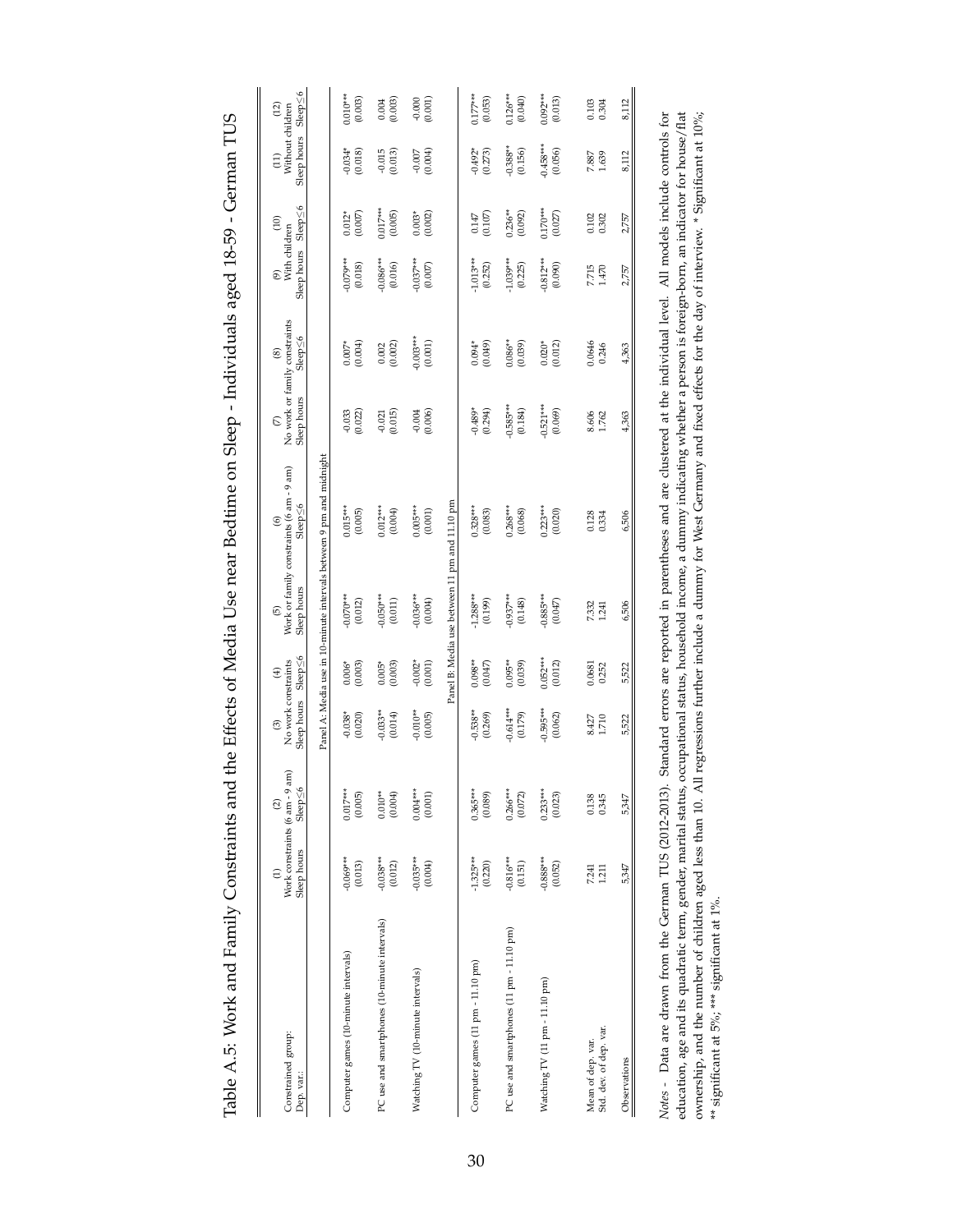<span id="page-29-0"></span>

| $\frac{1}{2}$                                                                                                                                                                                                                          |
|----------------------------------------------------------------------------------------------------------------------------------------------------------------------------------------------------------------------------------------|
|                                                                                                                                                                                                                                        |
|                                                                                                                                                                                                                                        |
|                                                                                                                                                                                                                                        |
| $100 + 10 = 10$ and $100 + 10 = 10$<br>$\overline{\mathcal{L}}$                                                                                                                                                                        |
| $\frac{1}{\sqrt{2}}$                                                                                                                                                                                                                   |
|                                                                                                                                                                                                                                        |
|                                                                                                                                                                                                                                        |
|                                                                                                                                                                                                                                        |
| J                                                                                                                                                                                                                                      |
|                                                                                                                                                                                                                                        |
|                                                                                                                                                                                                                                        |
| .<br>.<br>.                                                                                                                                                                                                                            |
|                                                                                                                                                                                                                                        |
|                                                                                                                                                                                                                                        |
| . The Http://edit.org/Media.org/Media.org/Media.org/Media.org/Media.org/Media.org/Media.org/Media.org/Media.org<br>י מוני היינו להתקופה המוני המוני המוני המוני המוני המוני המוני המוני המוני המוני המוני המוני המוני המוני המוני<br>ł |
|                                                                                                                                                                                                                                        |
| i                                                                                                                                                                                                                                      |
|                                                                                                                                                                                                                                        |
|                                                                                                                                                                                                                                        |
|                                                                                                                                                                                                                                        |
| $\ddot{\phantom{0}}$                                                                                                                                                                                                                   |
|                                                                                                                                                                                                                                        |
|                                                                                                                                                                                                                                        |
|                                                                                                                                                                                                                                        |
| $-1$                                                                                                                                                                                                                                   |
|                                                                                                                                                                                                                                        |
| ֧֪֧֪֚֚֚֚֚֚֚֚֚֚֚֚֚֚֚֚֚֚֚֚֚֚֚֚֚֚֚֚֚֡֬֝֝֬֝֝֬֝֬֝֓֝֬֝֬֝֬֝֬֝֓֝֬֝֬֝֬֝֬֝֬֝֬֝֬֝֬֝֬֝֬֝֬֝֬֝֬֝֝֬                                                                                                                                                   |
|                                                                                                                                                                                                                                        |
|                                                                                                                                                                                                                                        |
|                                                                                                                                                                                                                                        |
| י<br>ג                                                                                                                                                                                                                                 |
|                                                                                                                                                                                                                                        |
|                                                                                                                                                                                                                                        |
|                                                                                                                                                                                                                                        |
|                                                                                                                                                                                                                                        |
|                                                                                                                                                                                                                                        |
|                                                                                                                                                                                                                                        |
|                                                                                                                                                                                                                                        |
|                                                                                                                                                                                                                                        |
|                                                                                                                                                                                                                                        |
|                                                                                                                                                                                                                                        |
|                                                                                                                                                                                                                                        |
|                                                                                                                                                                                                                                        |
|                                                                                                                                                                                                                                        |
|                                                                                                                                                                                                                                        |
|                                                                                                                                                                                                                                        |
|                                                                                                                                                                                                                                        |
|                                                                                                                                                                                                                                        |
|                                                                                                                                                                                                                                        |
|                                                                                                                                                                                                                                        |
|                                                                                                                                                                                                                                        |

| Constrained group:<br>Dep. var.:                                                                        | Sleep hours<br>$\widehat{\Xi}$ | Work constraints (6 am - 9 am)<br>$S = p \leq 6$<br>$\widehat{\alpha}$ | No work constraints<br>Sleep hours<br>$\odot$ | Sleep<6<br>$\circledast$ | Sleep hours<br>$\odot$                        | Work or family constraints (6 am - 9 am)<br>$Sleep \leq 6$<br>$\circledcirc$ | Sleep hours<br>$\odot$ | No work or family constraints<br>$Sleep \leq 6$<br>⊛ | Sleep hours Sleep≤6<br>With children<br>T | (10)                  | Sleep hours Sleep≤6<br>Without children<br>(11) | (12)                  |
|---------------------------------------------------------------------------------------------------------|--------------------------------|------------------------------------------------------------------------|-----------------------------------------------|--------------------------|-----------------------------------------------|------------------------------------------------------------------------------|------------------------|------------------------------------------------------|-------------------------------------------|-----------------------|-------------------------------------------------|-----------------------|
|                                                                                                         |                                |                                                                        |                                               |                          |                                               | Panel A: Media use in 10-minute intervals between 9 pm and midnight          |                        |                                                      |                                           |                       |                                                 |                       |
| Computer games (10-minute intervals)                                                                    | $-0.069***$<br>(0.013)         | $0.017***$<br>(0.005)                                                  | $-0.038*$<br>(0.020)                          | $0.006*$<br>(0.003)      | $-0.070***$<br>(0.012)                        | $0.015***$<br>(0.005)                                                        | $-0.033$<br>(0.022)    | (0.004)<br>$0.007*$                                  | $-0.079***$<br>(0.018)                    | (0.007)<br>$0.012*$   | (0.018)<br>$-0.034*$                            | $0.010***$<br>(0.003) |
| PC use and smartphones (10-minute intervals)                                                            | $-0.038***$<br>(0.012)         | $0.010**$<br>(0.004)                                                   | $-0.033**$<br>(0.014)                         | (0.003)<br>$0.005*$      | $-0.050***$<br>(0.011)                        | $0.012***$<br>(0.004)                                                        | (0.015)<br>$-0.021$    | (0.002)<br>$0.002\,$                                 | $-0.086***$<br>(0.016)                    | $0.017***$<br>(0.005) | $-0.015$<br>(0.013)                             | $0.004$<br>$(0.003)$  |
| Watching TV (10-minute intervals)                                                                       | $-0.035***$<br>(0.004)         | $0.004***$<br>(0.001)                                                  | $-0.010**$<br>(0.005)                         | $-0.002*$<br>(0.001)     | $-0.036***$<br>(0.004)                        | $0.005***$<br>(0.001)                                                        | (0.006)<br>$-0.004$    | $-0.003***$<br>(0.001)                               | $-0.037***$<br>(0.007)                    | (0.002)<br>$0.003*$   | (0.004)<br>$-0.007$                             | (0.001)<br>$-0.000$   |
|                                                                                                         |                                |                                                                        |                                               |                          | Panel B: Media use between 11 pm and 11.10 pm |                                                                              |                        |                                                      |                                           |                       |                                                 |                       |
| Computer games (11 pm - 11.10 pm)                                                                       | $-1.325***$<br>(0.220)         | $0.365***$<br>(0.089)                                                  | $-0.538***$<br>(0.269)                        | $0.098**$<br>(0.047)     | $-1.288***$<br>(0.199)                        | $0.328***$<br>(0.083)                                                        | $-0.489*$<br>(0.294)   | (0.049)<br>$0.094*$                                  | $-1.013***$<br>(0.252)                    | (0.107)<br>0.147      | $-0.492*$<br>$(0.273)$                          | $0.177***$<br>(0.053) |
| PC use and smartphones (11 pm - 11.10 pm)                                                               | $-0.816***$<br>(0.151)         | $0.266***$<br>(0.072)                                                  | $-0.614***$<br>(0.179)                        | $0.095**$<br>(0.039)     | $-0.937***$<br>(0.148)                        | $0.268***$<br>(0.068)                                                        | $-0.585***$<br>(0.184) | $0.086**$<br>(0.039)                                 | $-1.039***$<br>(0.225)                    | $0.236***$<br>(0.092) | $-0.388**$<br>(0.156)                           | $0.126***$<br>(0.040) |
| Watching TV (11 pm - 11.10 pm)                                                                          | $-0.888***$<br>(0.052)         | $0.233***$<br>(0.023)                                                  | $-0.595***$<br>(0.062)                        | $0.052***$<br>(0.012)    | $-0.885***$<br>(0.047)                        | $0.223***$<br>(0.020)                                                        | $-0.521***$<br>(0.069) | $0.020*$<br>(0.012)                                  | $-0.812***$<br>(0.090)                    | $0.170***$<br>(0.027) | $-0.458***$<br>(0.056)                          | $0.092***$<br>(0.013) |
| Std. dev. of dep. var.<br>Mean of dep. var.                                                             | 7.241<br>1.211                 | 0.138<br>0.345                                                         | 8.427<br>1.710                                | 0.0681<br>0.252          | 7.332<br>1.241                                | 0.128<br>0.334                                                               | 8.606<br>1.762         | 0.0646<br>0.246                                      | 7.715<br>1.470                            | 0.102<br>0.302        | 7.887<br>1.639                                  | 0.103<br>0.304        |
| Observations                                                                                            | 5,347                          | 5,347                                                                  | 5,522                                         | 5,522                    | 6,506                                         | 6,506                                                                        | 4,363                  | 4,363                                                | 2,757                                     | 2,757                 | 8,112                                           | 8,112                 |
| Note $\Gamma$ at $\Gamma$ and $\Gamma$ and $\Gamma$ and $\Gamma$ and $\Gamma$ and $\Gamma$ and $\Gamma$ |                                |                                                                        |                                               |                          |                                               | $\Delta$                                                                     |                        |                                                      |                                           |                       |                                                 |                       |

Notes - Data are drawn from the German TUS (2012-2013). Standard errors are reported in parentheses and are clustered at the individual level. All models include controls for education, age and its quadratic term, gender, *Notes -* Data are drawn from the German TUS (2012-2013). Standard errors are reported in parentheses and are clustered at the individual level. All models include controls for education, age and its quadratic term, gender, marital status, occupational status, household income, a dummy indicating whether a person is foreign-born, an indicator for house/flat ownership, and the number of children aged less than 10. All regressions further include a dummy for West Germany and fixed effects for the day of interview. \* Significant at 10%; \*\* significant at 5%; \*\*\* significant at 1%.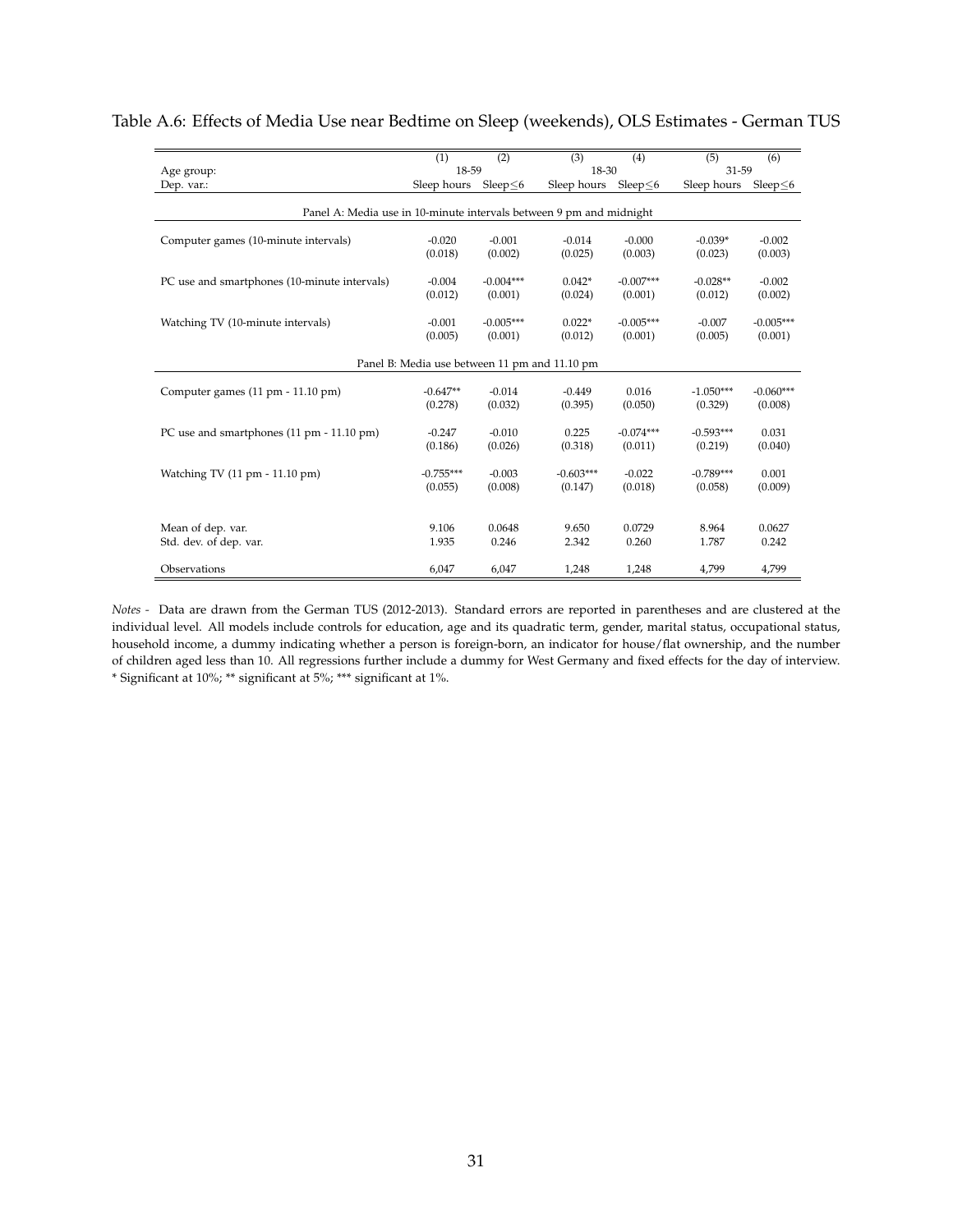|                                                                     | (1)         | (2)            | (3)         | (4)            | (5)         | (6)            |  |  |
|---------------------------------------------------------------------|-------------|----------------|-------------|----------------|-------------|----------------|--|--|
| Age group:                                                          | 18-59       |                | 18-30       |                | 31-59       |                |  |  |
| Dep. var.:                                                          | Sleep hours | Sleep $\leq 6$ | Sleep hours | Sleep $\leq$ 6 | Sleep hours | Sleep $\leq$ 6 |  |  |
| Panel A: Media use in 10-minute intervals between 9 pm and midnight |             |                |             |                |             |                |  |  |
| Computer games (10-minute intervals)                                | $-0.020$    | $-0.001$       | $-0.014$    | $-0.000$       | $-0.039*$   | $-0.002$       |  |  |
|                                                                     | (0.018)     | (0.002)        | (0.025)     | (0.003)        | (0.023)     | (0.003)        |  |  |
| PC use and smartphones (10-minute intervals)                        | $-0.004$    | $-0.004***$    | $0.042*$    | $-0.007***$    | $-0.028**$  | $-0.002$       |  |  |
|                                                                     | (0.012)     | (0.001)        | (0.024)     | (0.001)        | (0.012)     | (0.002)        |  |  |
| Watching TV (10-minute intervals)                                   | $-0.001$    | $-0.005***$    | $0.022*$    | $-0.005***$    | $-0.007$    | $-0.005***$    |  |  |
|                                                                     | (0.005)     | (0.001)        | (0.012)     | (0.001)        | (0.005)     | (0.001)        |  |  |
| Panel B: Media use between 11 pm and 11.10 pm                       |             |                |             |                |             |                |  |  |
| Computer games (11 pm - 11.10 pm)                                   | $-0.647**$  | $-0.014$       | $-0.449$    | 0.016          | $-1.050***$ | $-0.060***$    |  |  |
|                                                                     | (0.278)     | (0.032)        | (0.395)     | (0.050)        | (0.329)     | (0.008)        |  |  |
| PC use and smartphones (11 pm - 11.10 pm)                           | $-0.247$    | $-0.010$       | 0.225       | $-0.074***$    | $-0.593***$ | 0.031          |  |  |
|                                                                     | (0.186)     | (0.026)        | (0.318)     | (0.011)        | (0.219)     | (0.040)        |  |  |
| Watching TV (11 pm - 11.10 pm)                                      | $-0.755***$ | $-0.003$       | $-0.603***$ | $-0.022$       | $-0.789***$ | 0.001          |  |  |
|                                                                     | (0.055)     | (0.008)        | (0.147)     | (0.018)        | (0.058)     | (0.009)        |  |  |
| Mean of dep. var.                                                   | 9.106       | 0.0648         | 9.650       | 0.0729         | 8.964       | 0.0627         |  |  |
| Std. dev. of dep. var.                                              | 1.935       | 0.246          | 2.342       | 0.260          | 1.787       | 0.242          |  |  |
| Observations                                                        | 6,047       | 6,047          | 1,248       | 1,248          | 4,799       | 4,799          |  |  |

### <span id="page-30-0"></span>Table A.6: Effects of Media Use near Bedtime on Sleep (weekends), OLS Estimates - German TUS

*Notes -* Data are drawn from the German TUS (2012-2013). Standard errors are reported in parentheses and are clustered at the individual level. All models include controls for education, age and its quadratic term, gender, marital status, occupational status, household income, a dummy indicating whether a person is foreign-born, an indicator for house/flat ownership, and the number of children aged less than 10. All regressions further include a dummy for West Germany and fixed effects for the day of interview. \* Significant at 10%; \*\* significant at 5%; \*\*\* significant at 1%.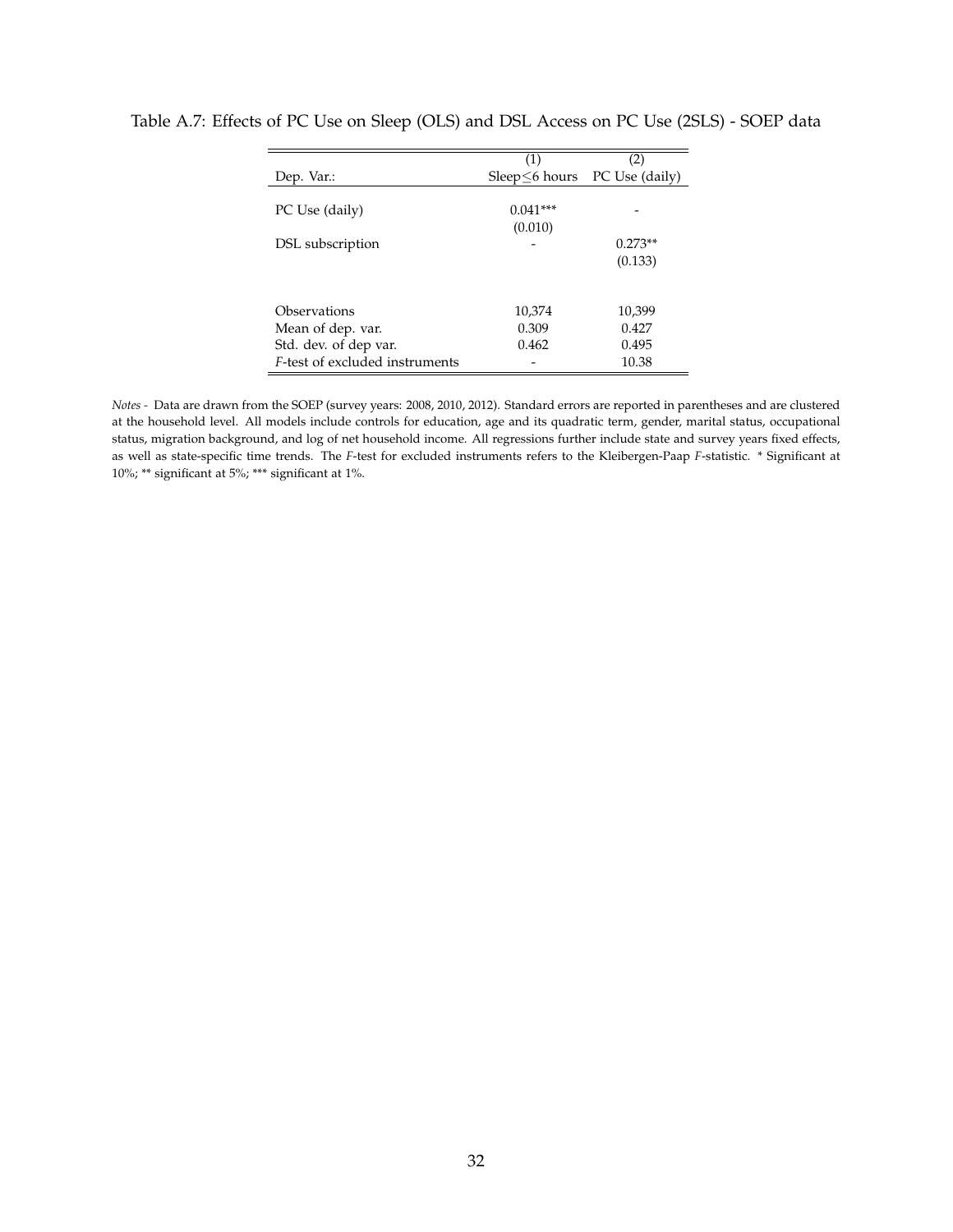| (1)                           | (2)       |
|-------------------------------|-----------|
| Sleep ≤6 hours PC Use (daily) |           |
|                               |           |
| $0.041***$                    |           |
| (0.010)                       |           |
|                               | $0.273**$ |
|                               | (0.133)   |
|                               |           |
|                               |           |
| 10,374                        | 10,399    |
| 0.309                         | 0.427     |
| 0.462                         | 0.495     |
|                               | 10.38     |
|                               |           |

### <span id="page-31-0"></span>Table A.7: Effects of PC Use on Sleep (OLS) and DSL Access on PC Use (2SLS) - SOEP data

*Notes -* Data are drawn from the SOEP (survey years: 2008, 2010, 2012). Standard errors are reported in parentheses and are clustered at the household level. All models include controls for education, age and its quadratic term, gender, marital status, occupational status, migration background, and log of net household income. All regressions further include state and survey years fixed effects, as well as state-specific time trends. The *F*-test for excluded instruments refers to the Kleibergen-Paap *F*-statistic. \* Significant at 10%; \*\* significant at 5%; \*\*\* significant at 1%.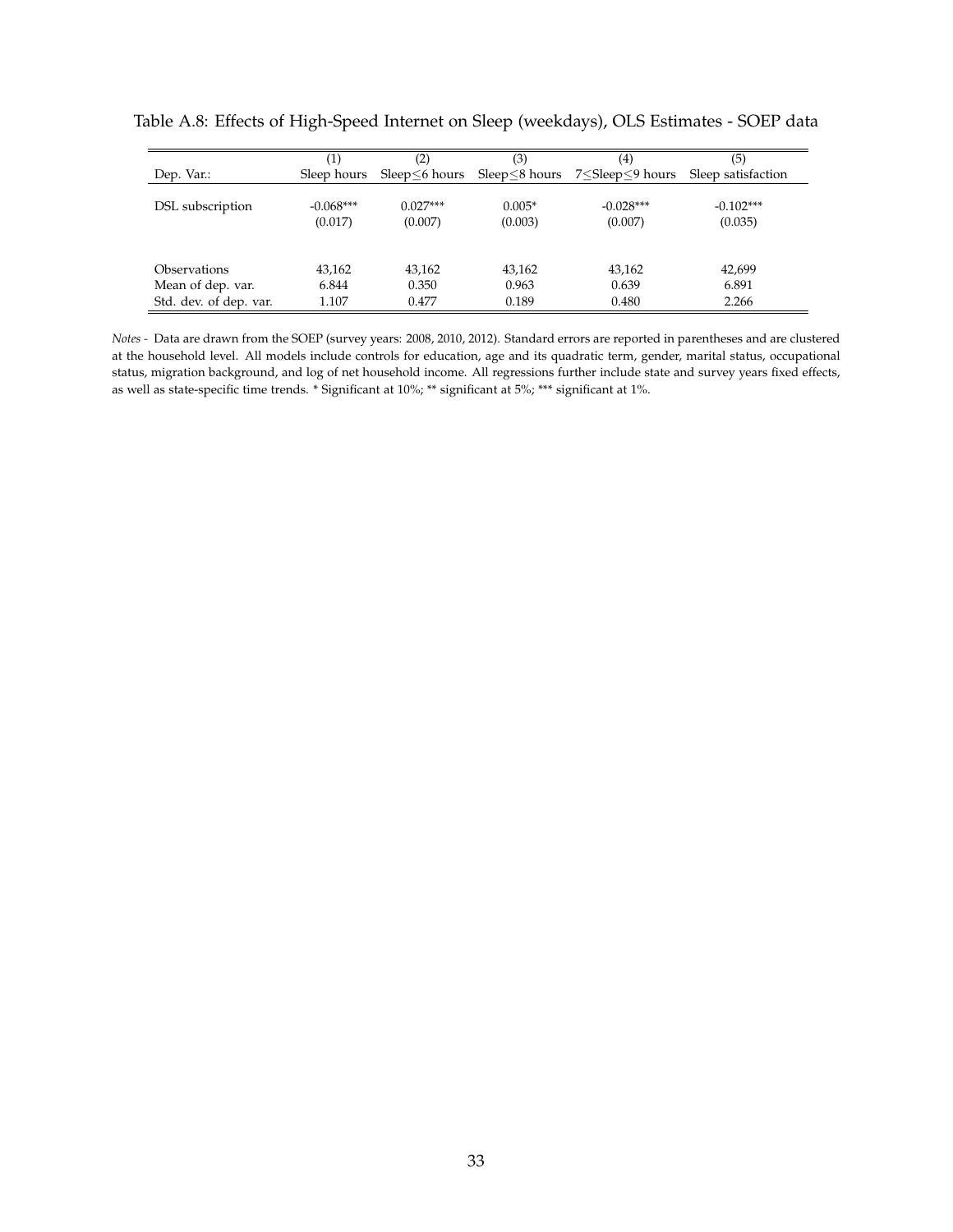|                        | $\scriptstyle{(1)}$    | (2)                   | (3)                 | (4)                                                                     | (5)                    |
|------------------------|------------------------|-----------------------|---------------------|-------------------------------------------------------------------------|------------------------|
| Dep. Var.:             | Sleep hours            |                       |                     | Sleep $\leq$ 6 hours Sleep $\leq$ 8 hours 7 $\leq$ Sleep $\leq$ 9 hours | Sleep satisfaction     |
| DSL subscription       | $-0.068***$<br>(0.017) | $0.027***$<br>(0.007) | $0.005*$<br>(0.003) | $-0.028***$<br>(0.007)                                                  | $-0.102***$<br>(0.035) |
| Observations           | 43.162                 | 43.162                | 43,162              | 43,162                                                                  | 42,699                 |
| Mean of dep. var.      | 6.844                  | 0.350                 | 0.963               | 0.639                                                                   | 6.891                  |
| Std. dev. of dep. var. | 1.107                  | 0.477                 | 0.189               | 0.480                                                                   | 2.266                  |

<span id="page-32-0"></span>Table A.8: Effects of High-Speed Internet on Sleep (weekdays), OLS Estimates - SOEP data

*Notes -* Data are drawn from the SOEP (survey years: 2008, 2010, 2012). Standard errors are reported in parentheses and are clustered at the household level. All models include controls for education, age and its quadratic term, gender, marital status, occupational status, migration background, and log of net household income. All regressions further include state and survey years fixed effects, as well as state-specific time trends. \* Significant at 10%; \*\* significant at 5%; \*\*\* significant at 1%.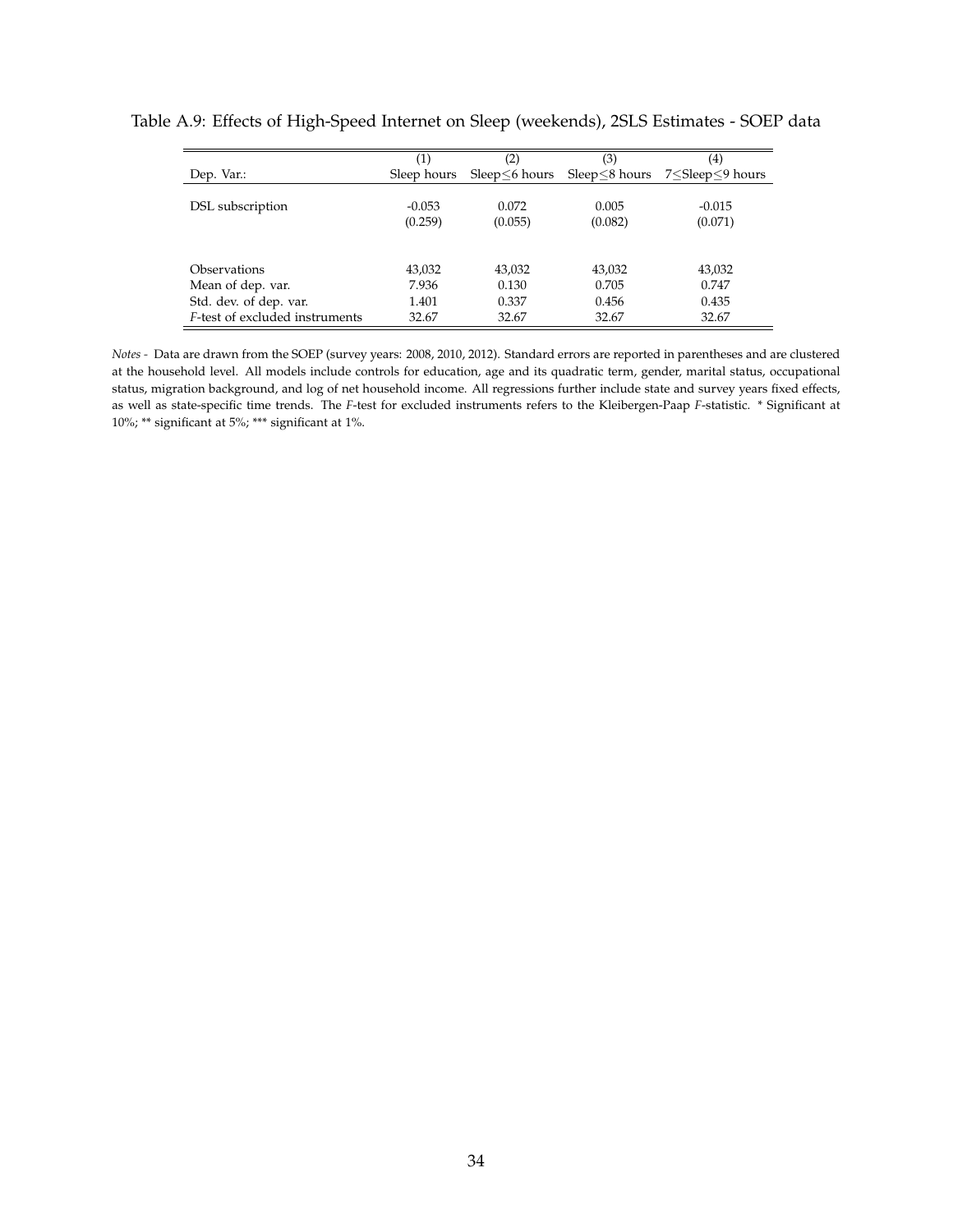|                                | (1)         | (2)     | (3)                             | (4)              |
|--------------------------------|-------------|---------|---------------------------------|------------------|
| Dep. Var.:                     | Sleep hours |         | $Sleep<6$ hours $Sleep<8$ hours | 7 Sleep ≤9 hours |
|                                |             |         |                                 |                  |
| DSL subscription               | $-0.053$    | 0.072   | 0.005                           | $-0.015$         |
|                                | (0.259)     | (0.055) | (0.082)                         | (0.071)          |
|                                |             |         |                                 |                  |
| Observations                   | 43,032      | 43,032  | 43,032                          | 43,032           |
| Mean of dep. var.              | 7.936       | 0.130   | 0.705                           | 0.747            |
| Std. dev. of dep. var.         | 1.401       | 0.337   | 0.456                           | 0.435            |
| F-test of excluded instruments | 32.67       | 32.67   | 32.67                           | 32.67            |

<span id="page-33-0"></span>Table A.9: Effects of High-Speed Internet on Sleep (weekends), 2SLS Estimates - SOEP data

*Notes -* Data are drawn from the SOEP (survey years: 2008, 2010, 2012). Standard errors are reported in parentheses and are clustered at the household level. All models include controls for education, age and its quadratic term, gender, marital status, occupational status, migration background, and log of net household income. All regressions further include state and survey years fixed effects, as well as state-specific time trends. The *F*-test for excluded instruments refers to the Kleibergen-Paap *F*-statistic. \* Significant at 10%; \*\* significant at 5%; \*\*\* significant at 1%.